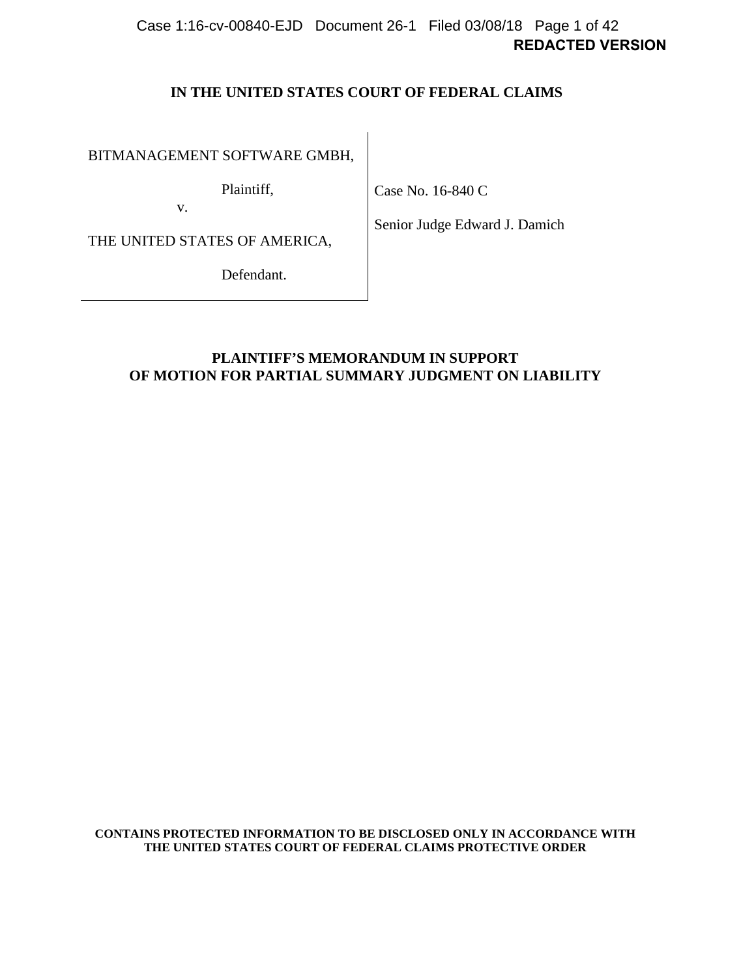# **REDACTED VERSION** Case 1:16-cv-00840-EJD Document 26-1 Filed 03/08/18 Page 1 of 42

### **IN THE UNITED STATES COURT OF FEDERAL CLAIMS**

BITMANAGEMENT SOFTWARE GMBH,

Plaintiff,

Case No. 16-840 C

THE UNITED STATES OF AMERICA,

v.

Senior Judge Edward J. Damich

Defendant.

**PLAINTIFF'S MEMORANDUM IN SUPPORT OF MOTION FOR PARTIAL SUMMARY JUDGMENT ON LIABILITY**

**CONTAINS PROTECTED INFORMATION TO BE DISCLOSED ONLY IN ACCORDANCE WITH THE UNITED STATES COURT OF FEDERAL CLAIMS PROTECTIVE ORDER**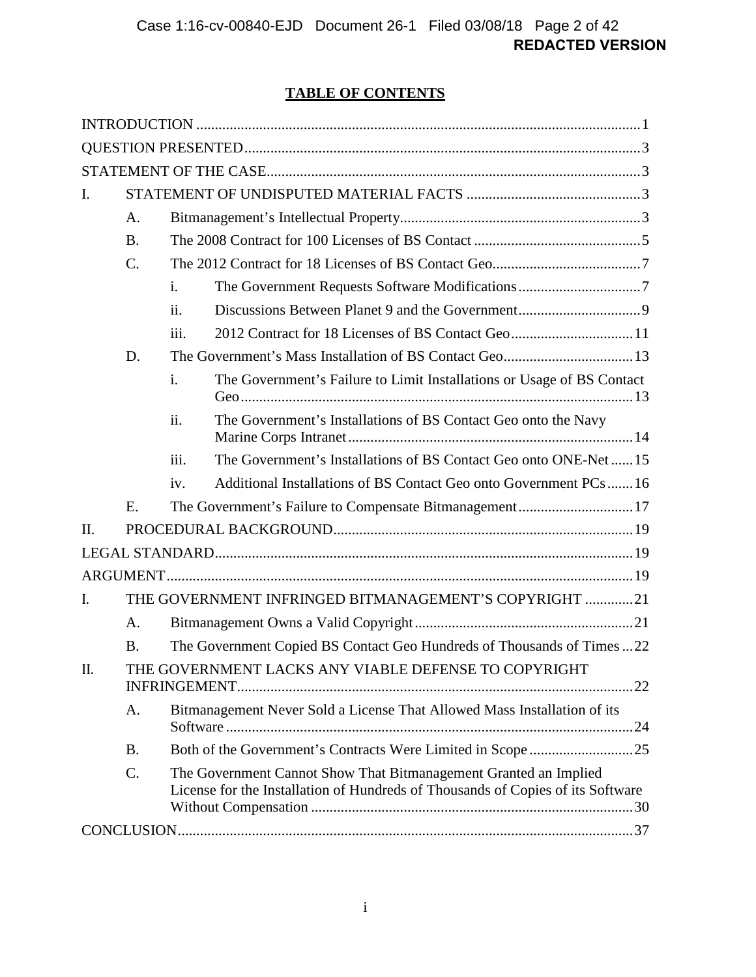# **TABLE OF CONTENTS**

| 2012 Contract for 18 Licenses of BS Contact Geo11                               |  |  |
|---------------------------------------------------------------------------------|--|--|
|                                                                                 |  |  |
| The Government's Failure to Limit Installations or Usage of BS Contact          |  |  |
|                                                                                 |  |  |
| The Government's Installations of BS Contact Geo onto ONE-Net 15                |  |  |
| Additional Installations of BS Contact Geo onto Government PCs16                |  |  |
| The Government's Failure to Compensate Bitmanagement17                          |  |  |
|                                                                                 |  |  |
|                                                                                 |  |  |
|                                                                                 |  |  |
| THE GOVERNMENT INFRINGED BITMANAGEMENT'S COPYRIGHT 21                           |  |  |
|                                                                                 |  |  |
| The Government Copied BS Contact Geo Hundreds of Thousands of Times22           |  |  |
|                                                                                 |  |  |
|                                                                                 |  |  |
|                                                                                 |  |  |
|                                                                                 |  |  |
| License for the Installation of Hundreds of Thousands of Copies of its Software |  |  |
|                                                                                 |  |  |
|                                                                                 |  |  |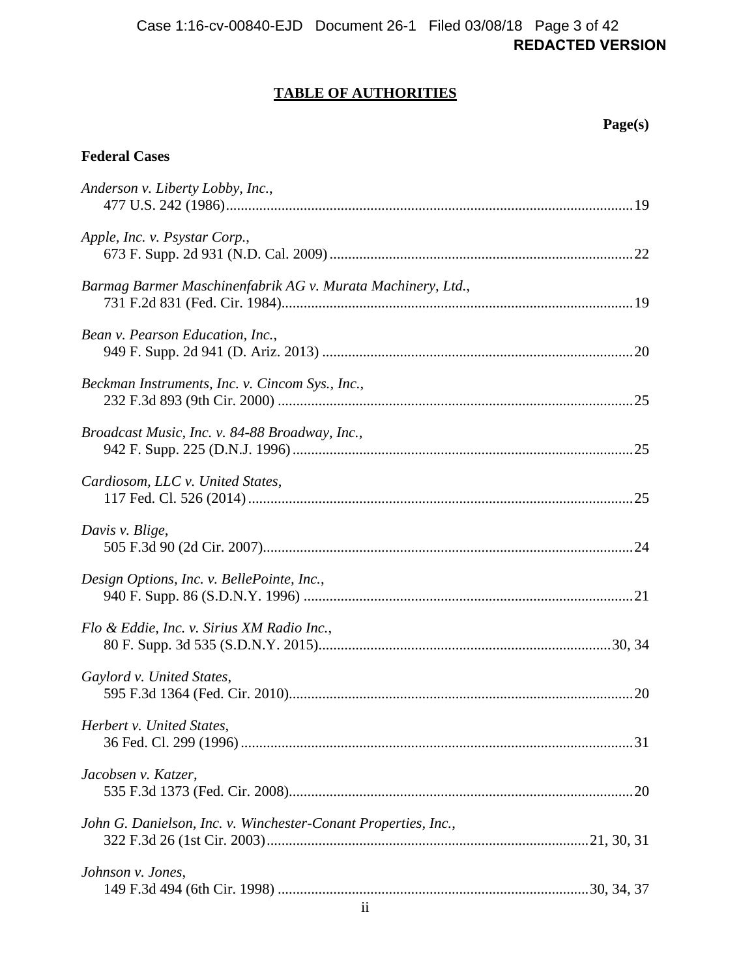# **REDACTED VERSION** Case 1:16-cv-00840-EJD Document 26-1 Filed 03/08/18 Page 3 of 42

# **TABLE OF AUTHORITIES**

 **Page(s)** 

### **Federal Cases**

| Anderson v. Liberty Lobby, Inc.,                               |  |
|----------------------------------------------------------------|--|
| Apple, Inc. v. Psystar Corp.,                                  |  |
| Barmag Barmer Maschinenfabrik AG v. Murata Machinery, Ltd.,    |  |
| Bean v. Pearson Education, Inc.,                               |  |
| Beckman Instruments, Inc. v. Cincom Sys., Inc.,                |  |
| Broadcast Music, Inc. v. 84-88 Broadway, Inc.,                 |  |
| Cardiosom, LLC v. United States,                               |  |
| Davis v. Blige,                                                |  |
| Design Options, Inc. v. BellePointe, Inc.,                     |  |
| Flo & Eddie, Inc. v. Sirius XM Radio Inc.,                     |  |
| Gaylord v. United States,                                      |  |
| Herbert v. United States,                                      |  |
| Jacobsen v. Katzer,                                            |  |
| John G. Danielson, Inc. v. Winchester-Conant Properties, Inc., |  |
| Johnson v. Jones,                                              |  |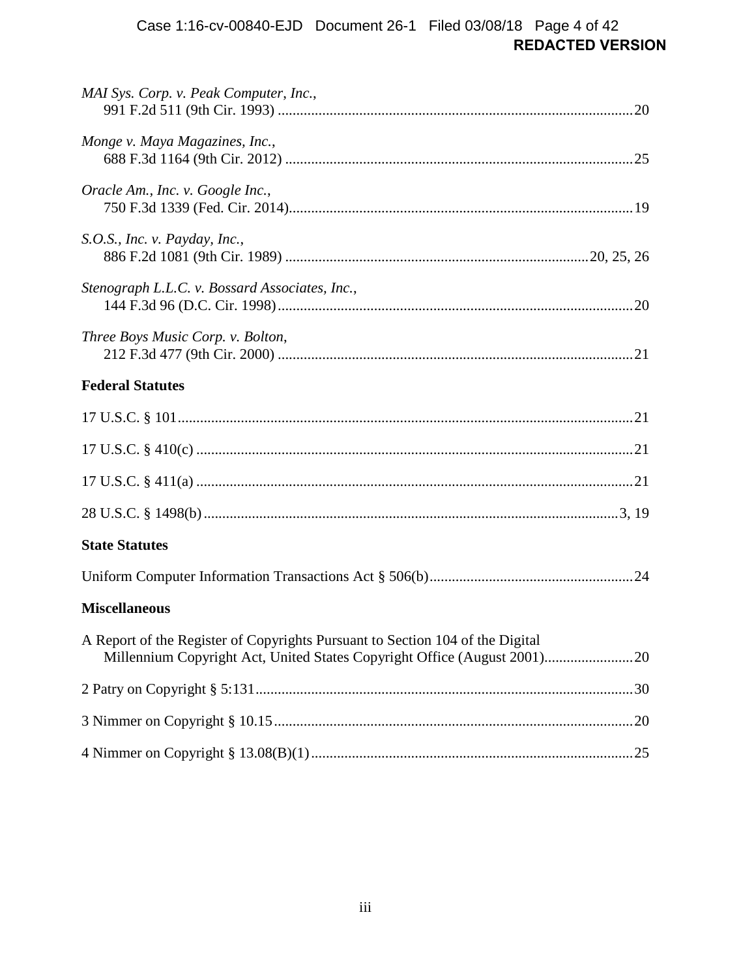# **REDACTED VERSION** Case 1:16-cv-00840-EJD Document 26-1 Filed 03/08/18 Page 4 of 42

| MAI Sys. Corp. v. Peak Computer, Inc.,                                        |  |
|-------------------------------------------------------------------------------|--|
| Monge v. Maya Magazines, Inc.,                                                |  |
| Oracle Am., Inc. v. Google Inc.,                                              |  |
| S.O.S., Inc. v. Payday, Inc.,                                                 |  |
| Stenograph L.L.C. v. Bossard Associates, Inc.,                                |  |
| Three Boys Music Corp. v. Bolton,                                             |  |
| <b>Federal Statutes</b>                                                       |  |
|                                                                               |  |
|                                                                               |  |
|                                                                               |  |
|                                                                               |  |
| <b>State Statutes</b>                                                         |  |
|                                                                               |  |
| <b>Miscellaneous</b>                                                          |  |
| A Report of the Register of Copyrights Pursuant to Section 104 of the Digital |  |
|                                                                               |  |
|                                                                               |  |
|                                                                               |  |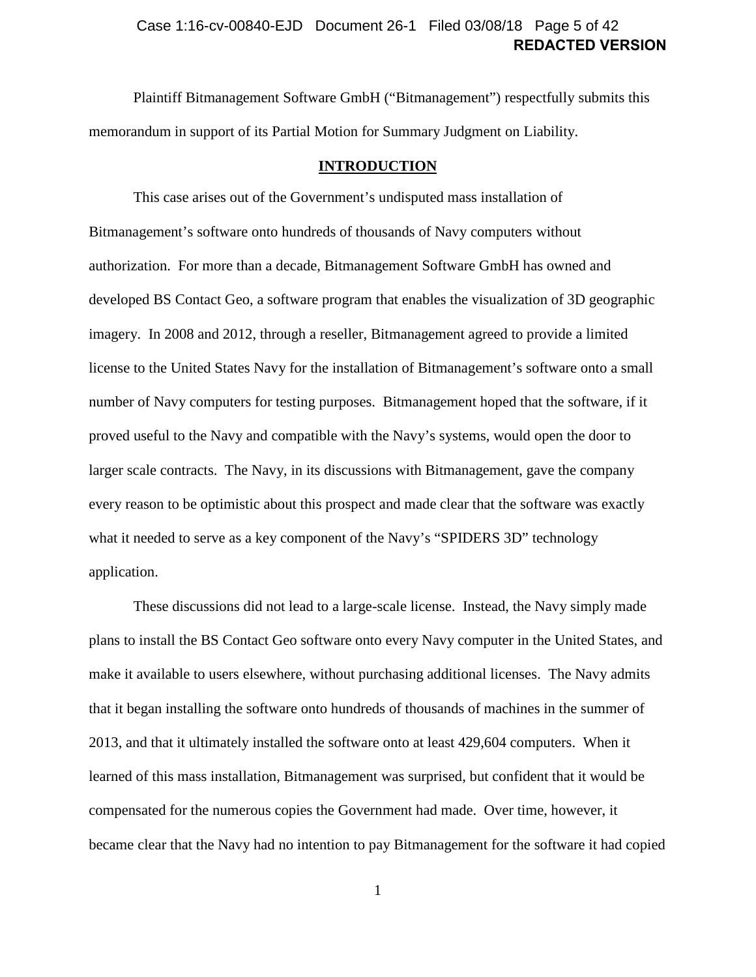### **REDACTED VERSION** Case 1:16-cv-00840-EJD Document 26-1 Filed 03/08/18 Page 5 of 42

Plaintiff Bitmanagement Software GmbH ("Bitmanagement") respectfully submits this memorandum in support of its Partial Motion for Summary Judgment on Liability.

#### **INTRODUCTION**

<span id="page-4-0"></span>This case arises out of the Government's undisputed mass installation of Bitmanagement's software onto hundreds of thousands of Navy computers without authorization. For more than a decade, Bitmanagement Software GmbH has owned and developed BS Contact Geo, a software program that enables the visualization of 3D geographic imagery. In 2008 and 2012, through a reseller, Bitmanagement agreed to provide a limited license to the United States Navy for the installation of Bitmanagement's software onto a small number of Navy computers for testing purposes. Bitmanagement hoped that the software, if it proved useful to the Navy and compatible with the Navy's systems, would open the door to larger scale contracts. The Navy, in its discussions with Bitmanagement, gave the company every reason to be optimistic about this prospect and made clear that the software was exactly what it needed to serve as a key component of the Navy's "SPIDERS 3D" technology application.

These discussions did not lead to a large-scale license. Instead, the Navy simply made plans to install the BS Contact Geo software onto every Navy computer in the United States, and make it available to users elsewhere, without purchasing additional licenses. The Navy admits that it began installing the software onto hundreds of thousands of machines in the summer of 2013, and that it ultimately installed the software onto at least 429,604 computers. When it learned of this mass installation, Bitmanagement was surprised, but confident that it would be compensated for the numerous copies the Government had made. Over time, however, it became clear that the Navy had no intention to pay Bitmanagement for the software it had copied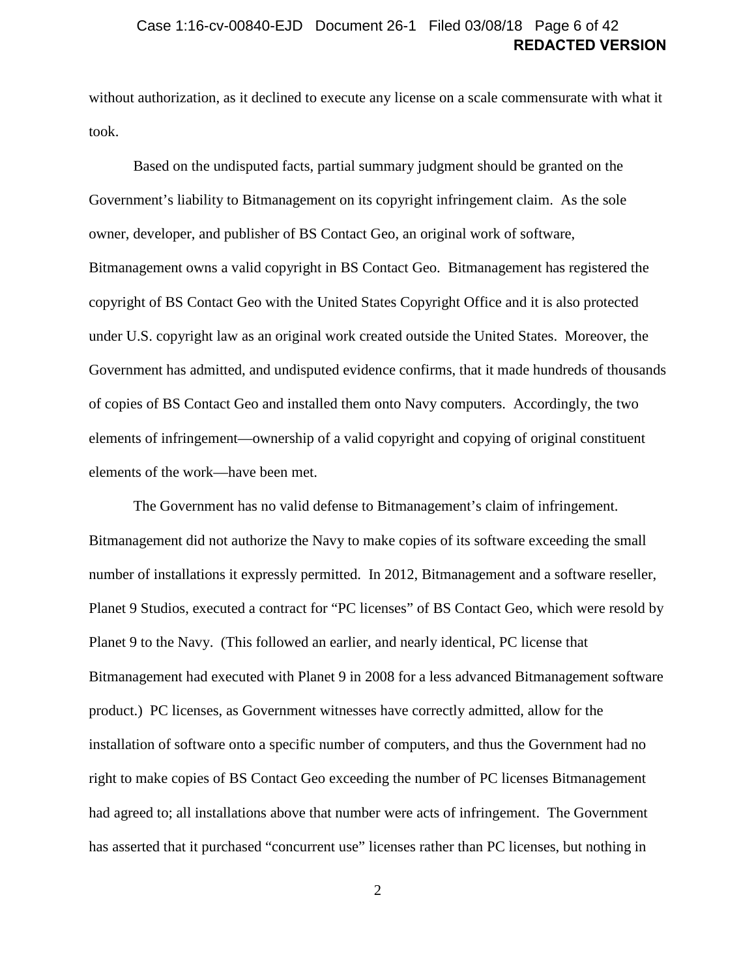### **REDACTED VERSION** Case 1:16-cv-00840-EJD Document 26-1 Filed 03/08/18 Page 6 of 42

without authorization, as it declined to execute any license on a scale commensurate with what it took.

Based on the undisputed facts, partial summary judgment should be granted on the Government's liability to Bitmanagement on its copyright infringement claim. As the sole owner, developer, and publisher of BS Contact Geo, an original work of software, Bitmanagement owns a valid copyright in BS Contact Geo. Bitmanagement has registered the copyright of BS Contact Geo with the United States Copyright Office and it is also protected under U.S. copyright law as an original work created outside the United States. Moreover, the Government has admitted, and undisputed evidence confirms, that it made hundreds of thousands of copies of BS Contact Geo and installed them onto Navy computers. Accordingly, the two elements of infringement—ownership of a valid copyright and copying of original constituent elements of the work—have been met.

The Government has no valid defense to Bitmanagement's claim of infringement. Bitmanagement did not authorize the Navy to make copies of its software exceeding the small number of installations it expressly permitted. In 2012, Bitmanagement and a software reseller, Planet 9 Studios, executed a contract for "PC licenses" of BS Contact Geo, which were resold by Planet 9 to the Navy. (This followed an earlier, and nearly identical, PC license that Bitmanagement had executed with Planet 9 in 2008 for a less advanced Bitmanagement software product.) PC licenses, as Government witnesses have correctly admitted, allow for the installation of software onto a specific number of computers, and thus the Government had no right to make copies of BS Contact Geo exceeding the number of PC licenses Bitmanagement had agreed to; all installations above that number were acts of infringement. The Government has asserted that it purchased "concurrent use" licenses rather than PC licenses, but nothing in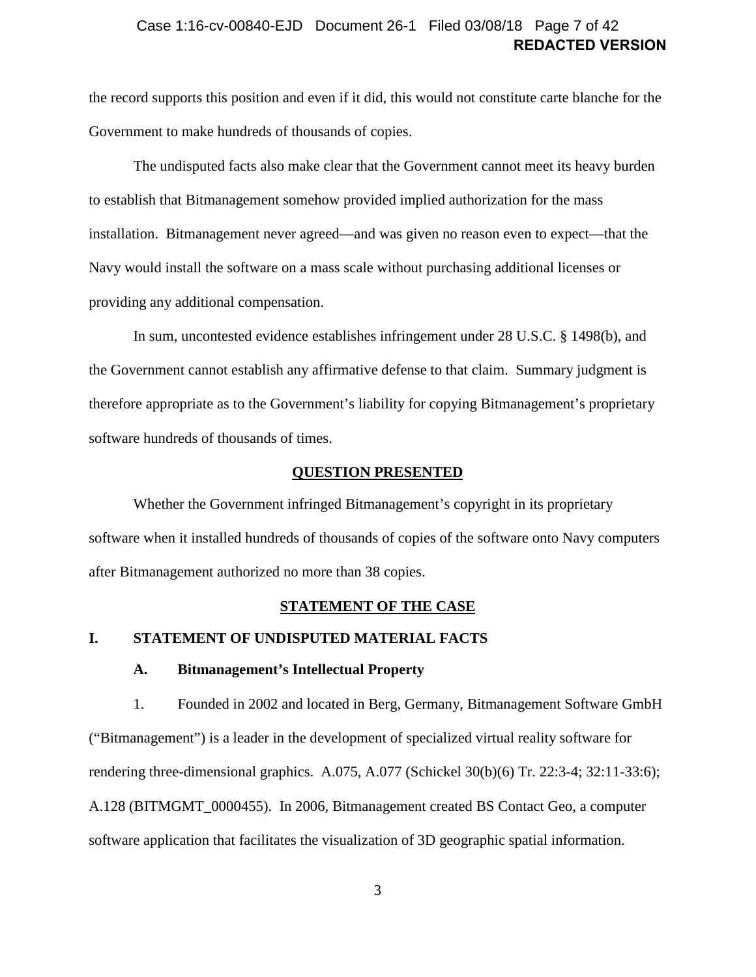### **REDACTED VERSION** Case 1:16-cv-00840-EJD Document 26-1 Filed 03/08/18 Page 7 of 42

the record supports this position and even if it did, this would not constitute carte blanche for the Government to make hundreds of thousands of copies.

The undisputed facts also make clear that the Government cannot meet its heavy burden to establish that Bitmanagement somehow provided implied authorization for the mass installation. Bitmanagement never agreed—and was given no reason even to expect—that the Navy would install the software on a mass scale without purchasing additional licenses or providing any additional compensation.

In sum, uncontested evidence establishes infringement under 28 U.S.C. § 1498(b), and the Government cannot establish any affirmative defense to that claim. Summary judgment is therefore appropriate as to the Government's liability for copying Bitmanagement's proprietary software hundreds of thousands of times.

### <span id="page-6-4"></span>**QUESTION PRESENTED**

<span id="page-6-0"></span>Whether the Government infringed Bitmanagement's copyright in its proprietary software when it installed hundreds of thousands of copies of the software onto Navy computers after Bitmanagement authorized no more than 38 copies.

#### **STATEMENT OF THE CASE**

### <span id="page-6-3"></span><span id="page-6-2"></span><span id="page-6-1"></span>**I. STATEMENT OF UNDISPUTED MATERIAL FACTS**

#### **A. Bitmanagement's Intellectual Property**

<span id="page-6-5"></span>1. Founded in 2002 and located in Berg, Germany, Bitmanagement Software GmbH ("Bitmanagement") is a leader in the development of specialized virtual reality software for rendering three-dimensional graphics. A.075, A.077 (Schickel 30(b)(6) Tr. 22:3-4; 32:11-33:6); A.128 (BITMGMT\_0000455). In 2006, Bitmanagement created BS Contact Geo, a computer software application that facilitates the visualization of 3D geographic spatial information.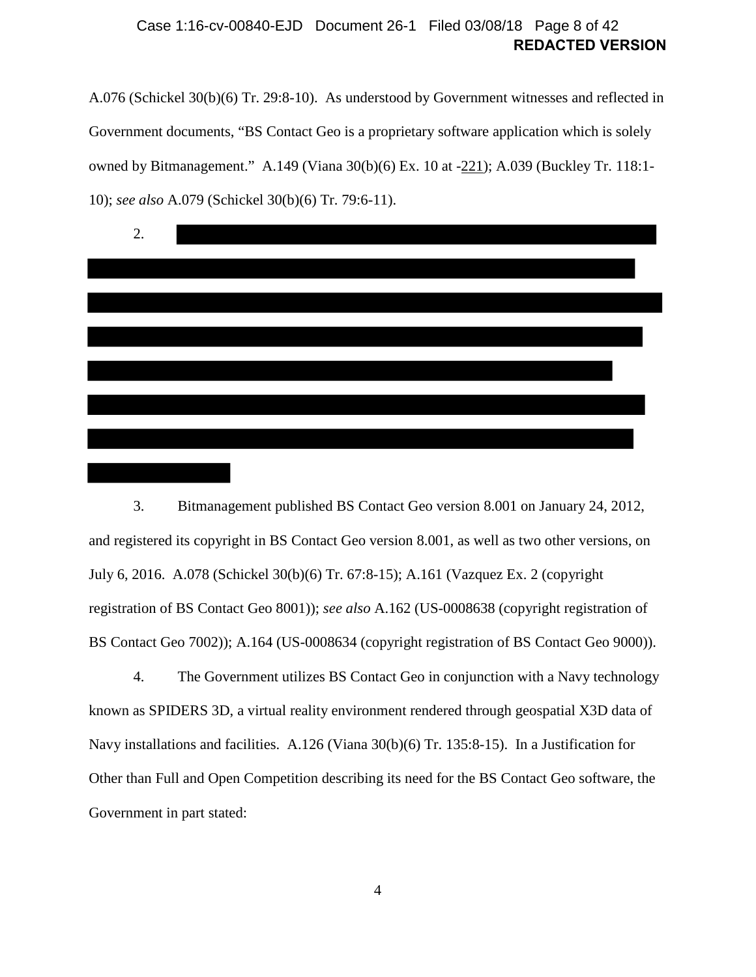### **REDACTED VERSION** Case 1:16-cv-00840-EJD Document 26-1 Filed 03/08/18 Page 8 of 42

A.076 (Schickel 30(b)(6) Tr. 29:8-10). As understood by Government witnesses and reflected in Government documents, "BS Contact Geo is a proprietary software application which is solely owned by Bitmanagement." A.149 (Viana 30(b)(6) Ex. 10 at -221); A.039 (Buckley Tr. 118:1- 10); *see also* A.079 (Schickel 30(b)(6) Tr. 79:6-11).



<span id="page-7-0"></span>3. Bitmanagement published BS Contact Geo version 8.001 on January 24, 2012, and registered its copyright in BS Contact Geo version 8.001, as well as two other versions, on July 6, 2016. A.078 (Schickel 30(b)(6) Tr. 67:8-15); A.161 (Vazquez Ex. 2 (copyright registration of BS Contact Geo 8001)); *see also* A.162 (US-0008638 (copyright registration of BS Contact Geo 7002)); A.164 (US-0008634 (copyright registration of BS Contact Geo 9000)).

<span id="page-7-1"></span>4. The Government utilizes BS Contact Geo in conjunction with a Navy technology known as SPIDERS 3D, a virtual reality environment rendered through geospatial X3D data of Navy installations and facilities. A.126 (Viana 30(b)(6) Tr. 135:8-15). In a Justification for Other than Full and Open Competition describing its need for the BS Contact Geo software, the Government in part stated: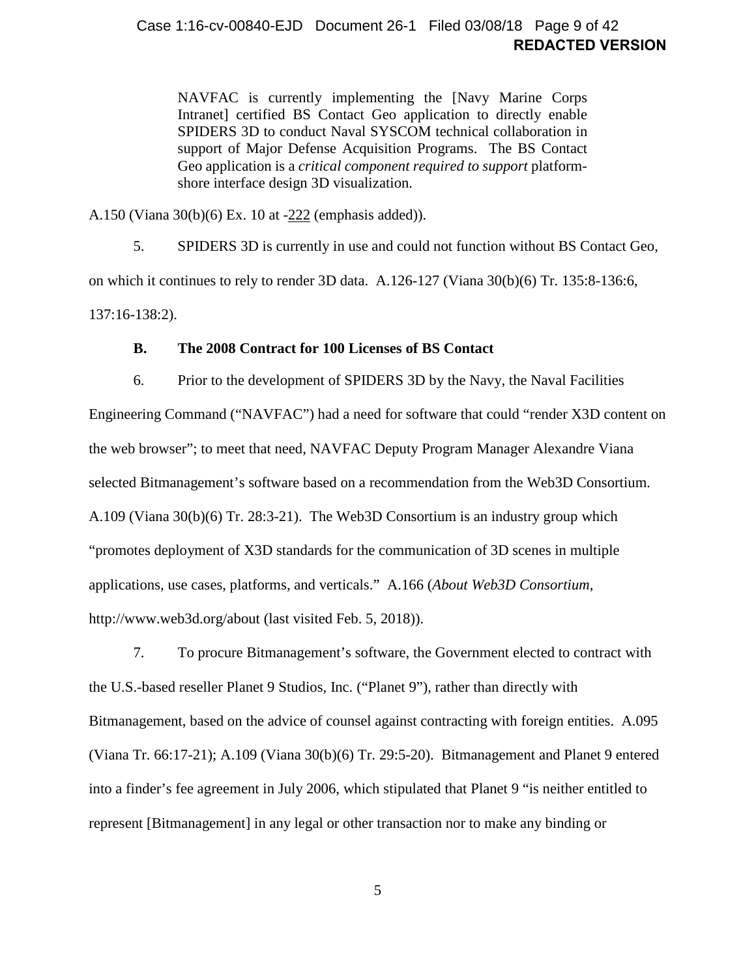### **REDACTED VERSION** Case 1:16-cv-00840-EJD Document 26-1 Filed 03/08/18 Page 9 of 42

NAVFAC is currently implementing the [Navy Marine Corps Intranet] certified BS Contact Geo application to directly enable SPIDERS 3D to conduct Naval SYSCOM technical collaboration in support of Major Defense Acquisition Programs. The BS Contact Geo application is a *critical component required to support* platformshore interface design 3D visualization.

A.150 (Viana 30(b)(6) Ex. 10 at -222 (emphasis added)).

5. SPIDERS 3D is currently in use and could not function without BS Contact Geo, on which it continues to rely to render 3D data. A.126-127 (Viana 30(b)(6) Tr. 135:8-136:6, 137:16-138:2).

#### **B. The 2008 Contract for 100 Licenses of BS Contact**

<span id="page-8-2"></span><span id="page-8-0"></span>6. Prior to the development of SPIDERS 3D by the Navy, the Naval Facilities Engineering Command ("NAVFAC") had a need for software that could "render X3D content on the web browser"; to meet that need, NAVFAC Deputy Program Manager Alexandre Viana selected Bitmanagement's software based on a recommendation from the Web3D Consortium. A.109 (Viana 30(b)(6) Tr. 28:3-21). The Web3D Consortium is an industry group which "promotes deployment of X3D standards for the communication of 3D scenes in multiple applications, use cases, platforms, and verticals." A.166 (*About Web3D Consortium*, http://www.web3d.org/about (last visited Feb. 5, 2018)).

<span id="page-8-1"></span>7. To procure Bitmanagement's software, the Government elected to contract with the U.S.-based reseller Planet 9 Studios, Inc. ("Planet 9"), rather than directly with Bitmanagement, based on the advice of counsel against contracting with foreign entities. A.095 (Viana Tr. 66:17-21); A.109 (Viana 30(b)(6) Tr. 29:5-20). Bitmanagement and Planet 9 entered into a finder's fee agreement in July 2006, which stipulated that Planet 9 "is neither entitled to represent [Bitmanagement] in any legal or other transaction nor to make any binding or

5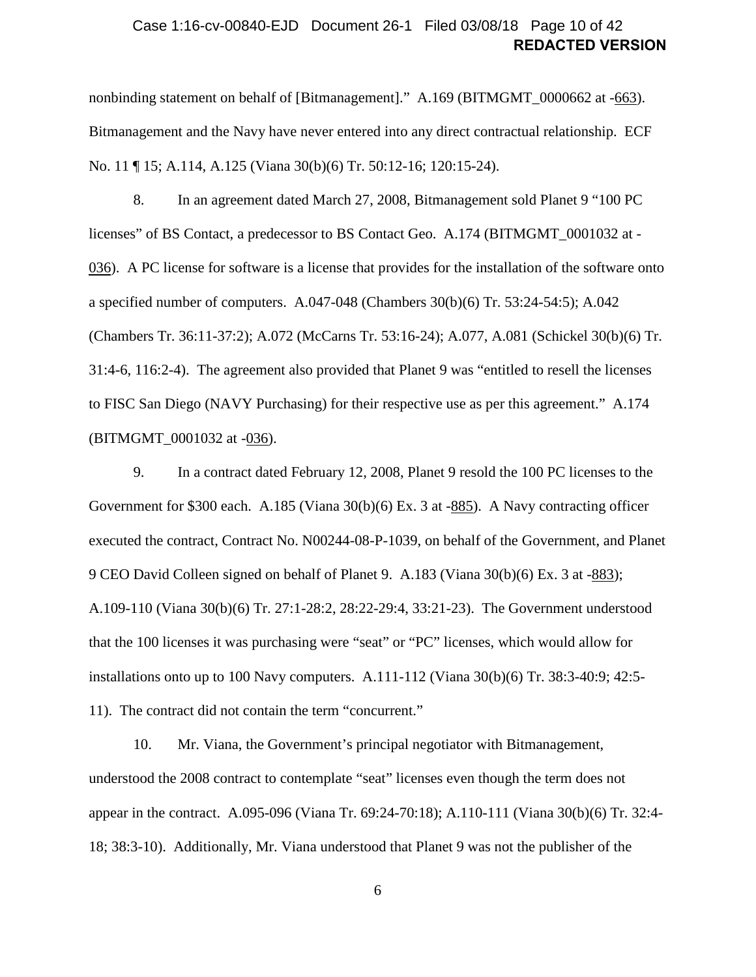### **REDACTED VERSION** Case 1:16-cv-00840-EJD Document 26-1 Filed 03/08/18 Page 10 of 42

nonbinding statement on behalf of [Bitmanagement]." A.169 (BITMGMT\_0000662 at -663). Bitmanagement and the Navy have never entered into any direct contractual relationship. ECF No. 11 ¶ 15; A.114, A.125 (Viana 30(b)(6) Tr. 50:12-16; 120:15-24).

<span id="page-9-0"></span>8. In an agreement dated March 27, 2008, Bitmanagement sold Planet 9 "100 PC licenses" of BS Contact, a predecessor to BS Contact Geo. A.174 (BITMGMT\_0001032 at - 036). A PC license for software is a license that provides for the installation of the software onto a specified number of computers. A.047-048 (Chambers 30(b)(6) Tr. 53:24-54:5); A.042 (Chambers Tr. 36:11-37:2); A.072 (McCarns Tr. 53:16-24); A.077, A.081 (Schickel 30(b)(6) Tr. 31:4-6, 116:2-4). The agreement also provided that Planet 9 was "entitled to resell the licenses to FISC San Diego (NAVY Purchasing) for their respective use as per this agreement." A.174 (BITMGMT\_0001032 at -036).

<span id="page-9-1"></span>9. In a contract dated February 12, 2008, Planet 9 resold the 100 PC licenses to the Government for \$300 each. A.185 (Viana 30(b)(6) Ex. 3 at -885). A Navy contracting officer executed the contract, Contract No. N00244-08-P-1039, on behalf of the Government, and Planet 9 CEO David Colleen signed on behalf of Planet 9. A.183 (Viana 30(b)(6) Ex. 3 at -883); A.109-110 (Viana 30(b)(6) Tr. 27:1-28:2, 28:22-29:4, 33:21-23). The Government understood that the 100 licenses it was purchasing were "seat" or "PC" licenses, which would allow for installations onto up to 100 Navy computers. A.111-112 (Viana 30(b)(6) Tr. 38:3-40:9; 42:5- 11). The contract did not contain the term "concurrent."

<span id="page-9-2"></span>10. Mr. Viana, the Government's principal negotiator with Bitmanagement, understood the 2008 contract to contemplate "seat" licenses even though the term does not appear in the contract. A.095-096 (Viana Tr. 69:24-70:18); A.110-111 (Viana 30(b)(6) Tr. 32:4- 18; 38:3-10). Additionally, Mr. Viana understood that Planet 9 was not the publisher of the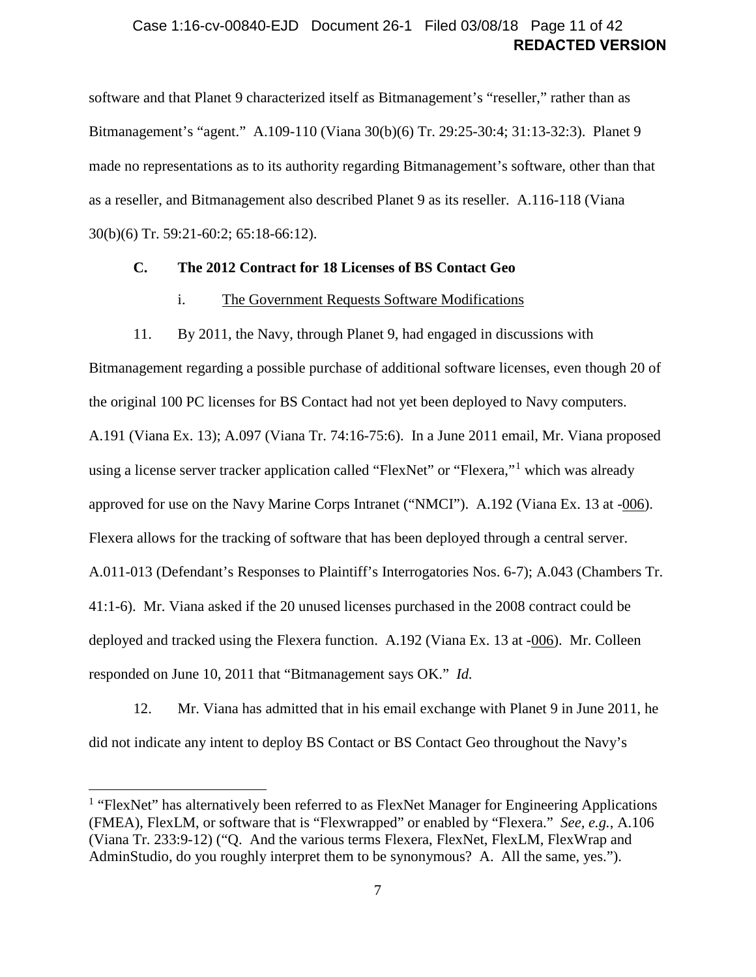### **REDACTED VERSION** Case 1:16-cv-00840-EJD Document 26-1 Filed 03/08/18 Page 11 of 42

software and that Planet 9 characterized itself as Bitmanagement's "reseller," rather than as Bitmanagement's "agent." A.109-110 (Viana 30(b)(6) Tr. 29:25-30:4; 31:13-32:3). Planet 9 made no representations as to its authority regarding Bitmanagement's software, other than that as a reseller, and Bitmanagement also described Planet 9 as its reseller. A.116-118 (Viana 30(b)(6) Tr. 59:21-60:2; 65:18-66:12).

### <span id="page-10-1"></span><span id="page-10-0"></span>**C. The 2012 Contract for 18 Licenses of BS Contact Geo**

#### i. The Government Requests Software Modifications

11. By 2011, the Navy, through Planet 9, had engaged in discussions with

<span id="page-10-3"></span>Bitmanagement regarding a possible purchase of additional software licenses, even though 20 of the original 100 PC licenses for BS Contact had not yet been deployed to Navy computers. A.191 (Viana Ex. 13); A.097 (Viana Tr. 74:16-75:6). In a June 2011 email, Mr. Viana proposed using a license server tracker application called "FlexNet" or "Flexera,"<sup>[1](#page-10-2)</sup> which was already approved for use on the Navy Marine Corps Intranet ("NMCI"). A.192 (Viana Ex. 13 at -006). Flexera allows for the tracking of software that has been deployed through a central server. A.011-013 (Defendant's Responses to Plaintiff's Interrogatories Nos. 6-7); A.043 (Chambers Tr. 41:1-6). Mr. Viana asked if the 20 unused licenses purchased in the 2008 contract could be deployed and tracked using the Flexera function. A.192 (Viana Ex. 13 at -006). Mr. Colleen responded on June 10, 2011 that "Bitmanagement says OK." *Id.*

12. Mr. Viana has admitted that in his email exchange with Planet 9 in June 2011, he did not indicate any intent to deploy BS Contact or BS Contact Geo throughout the Navy's

<span id="page-10-2"></span><sup>&</sup>lt;sup>1</sup> "FlexNet" has alternatively been referred to as FlexNet Manager for Engineering Applications (FMEA), FlexLM, or software that is "Flexwrapped" or enabled by "Flexera." *See, e.g.*, A.106 (Viana Tr. 233:9-12) ("Q. And the various terms Flexera, FlexNet, FlexLM, FlexWrap and AdminStudio, do you roughly interpret them to be synonymous? A. All the same, yes.").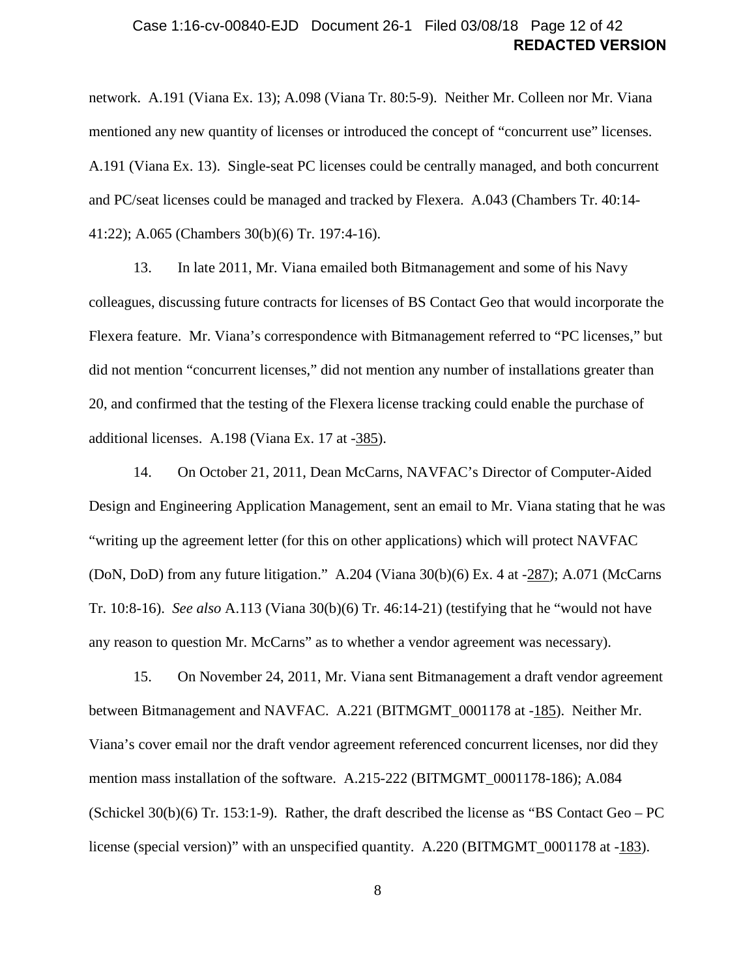### **REDACTED VERSION** Case 1:16-cv-00840-EJD Document 26-1 Filed 03/08/18 Page 12 of 42

network. A.191 (Viana Ex. 13); A.098 (Viana Tr. 80:5-9). Neither Mr. Colleen nor Mr. Viana mentioned any new quantity of licenses or introduced the concept of "concurrent use" licenses. A.191 (Viana Ex. 13). Single-seat PC licenses could be centrally managed, and both concurrent and PC/seat licenses could be managed and tracked by Flexera. A.043 (Chambers Tr. 40:14- 41:22); A.065 (Chambers 30(b)(6) Tr. 197:4-16).

13. In late 2011, Mr. Viana emailed both Bitmanagement and some of his Navy colleagues, discussing future contracts for licenses of BS Contact Geo that would incorporate the Flexera feature. Mr. Viana's correspondence with Bitmanagement referred to "PC licenses," but did not mention "concurrent licenses," did not mention any number of installations greater than 20, and confirmed that the testing of the Flexera license tracking could enable the purchase of additional licenses. A.198 (Viana Ex. 17 at -385).

<span id="page-11-0"></span>14. On October 21, 2011, Dean McCarns, NAVFAC's Director of Computer-Aided Design and Engineering Application Management, sent an email to Mr. Viana stating that he was "writing up the agreement letter (for this on other applications) which will protect NAVFAC (DoN, DoD) from any future litigation." A.204 (Viana 30(b)(6) Ex. 4 at -287); A.071 (McCarns Tr. 10:8-16). *See also* A.113 (Viana 30(b)(6) Tr. 46:14-21) (testifying that he "would not have any reason to question Mr. McCarns" as to whether a vendor agreement was necessary).

15. On November 24, 2011, Mr. Viana sent Bitmanagement a draft vendor agreement between Bitmanagement and NAVFAC. A.221 (BITMGMT\_0001178 at -185). Neither Mr. Viana's cover email nor the draft vendor agreement referenced concurrent licenses, nor did they mention mass installation of the software. A.215-222 (BITMGMT\_0001178-186); A.084 (Schickel  $30(b)(6)$  Tr. 153:1-9). Rather, the draft described the license as "BS Contact Geo – PC license (special version)" with an unspecified quantity. A.220 (BITMGMT\_0001178 at -183).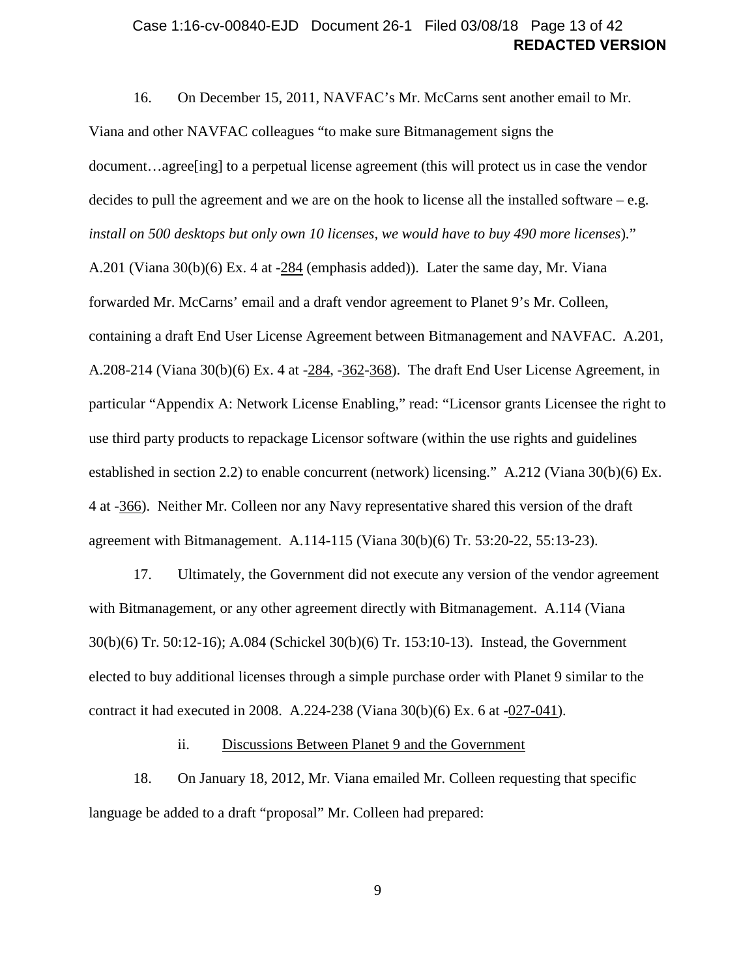### **REDACTED VERSION** Case 1:16-cv-00840-EJD Document 26-1 Filed 03/08/18 Page 13 of 42

<span id="page-12-1"></span>16. On December 15, 2011, NAVFAC's Mr. McCarns sent another email to Mr. Viana and other NAVFAC colleagues "to make sure Bitmanagement signs the document…agree[ing] to a perpetual license agreement (this will protect us in case the vendor decides to pull the agreement and we are on the hook to license all the installed software – e.g. *install on 500 desktops but only own 10 licenses, we would have to buy 490 more licenses*)." A.201 (Viana 30(b)(6) Ex. 4 at -284 (emphasis added)). Later the same day, Mr. Viana forwarded Mr. McCarns' email and a draft vendor agreement to Planet 9's Mr. Colleen, containing a draft End User License Agreement between Bitmanagement and NAVFAC. A.201, A.208-214 (Viana 30(b)(6) Ex. 4 at -284, -362-368). The draft End User License Agreement, in particular "Appendix A: Network License Enabling," read: "Licensor grants Licensee the right to use third party products to repackage Licensor software (within the use rights and guidelines established in section 2.2) to enable concurrent (network) licensing." A.212 (Viana 30(b)(6) Ex. 4 at -366). Neither Mr. Colleen nor any Navy representative shared this version of the draft agreement with Bitmanagement. A.114-115 (Viana 30(b)(6) Tr. 53:20-22, 55:13-23).

<span id="page-12-2"></span>17. Ultimately, the Government did not execute any version of the vendor agreement with Bitmanagement, or any other agreement directly with Bitmanagement. A.114 (Viana 30(b)(6) Tr. 50:12-16); A.084 (Schickel 30(b)(6) Tr. 153:10-13). Instead, the Government elected to buy additional licenses through a simple purchase order with Planet 9 similar to the contract it had executed in 2008. A.224-238 (Viana 30(b)(6) Ex. 6 at -027-041).

ii. Discussions Between Planet 9 and the Government

<span id="page-12-3"></span><span id="page-12-0"></span>18. On January 18, 2012, Mr. Viana emailed Mr. Colleen requesting that specific language be added to a draft "proposal" Mr. Colleen had prepared:

9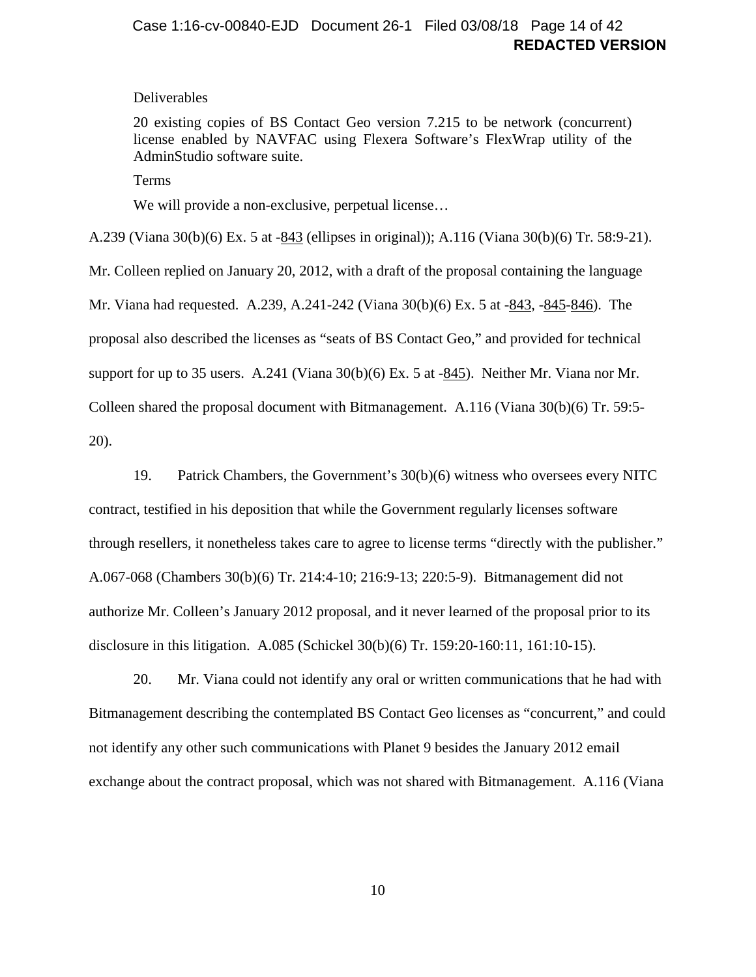### **REDACTED VERSION** Case 1:16-cv-00840-EJD Document 26-1 Filed 03/08/18 Page 14 of 42

#### Deliverables

20 existing copies of BS Contact Geo version 7.215 to be network (concurrent) license enabled by NAVFAC using Flexera Software's FlexWrap utility of the AdminStudio software suite.

Terms

We will provide a non-exclusive, perpetual license...

A.239 (Viana 30(b)(6) Ex. 5 at -843 (ellipses in original)); A.116 (Viana 30(b)(6) Tr. 58:9-21).

Mr. Colleen replied on January 20, 2012, with a draft of the proposal containing the language Mr. Viana had requested. A.239, A.241-242 (Viana 30(b)(6) Ex. 5 at -843, -845-846). The proposal also described the licenses as "seats of BS Contact Geo," and provided for technical support for up to 35 users. A.241 (Viana 30(b)(6) Ex. 5 at -845). Neither Mr. Viana nor Mr. Colleen shared the proposal document with Bitmanagement. A.116 (Viana 30(b)(6) Tr. 59:5- 20).

19. Patrick Chambers, the Government's 30(b)(6) witness who oversees every NITC

contract, testified in his deposition that while the Government regularly licenses software through resellers, it nonetheless takes care to agree to license terms "directly with the publisher." A.067-068 (Chambers 30(b)(6) Tr. 214:4-10; 216:9-13; 220:5-9). Bitmanagement did not authorize Mr. Colleen's January 2012 proposal, and it never learned of the proposal prior to its disclosure in this litigation. A.085 (Schickel 30(b)(6) Tr. 159:20-160:11, 161:10-15).

<span id="page-13-0"></span>20. Mr. Viana could not identify any oral or written communications that he had with Bitmanagement describing the contemplated BS Contact Geo licenses as "concurrent," and could not identify any other such communications with Planet 9 besides the January 2012 email exchange about the contract proposal, which was not shared with Bitmanagement. A.116 (Viana

10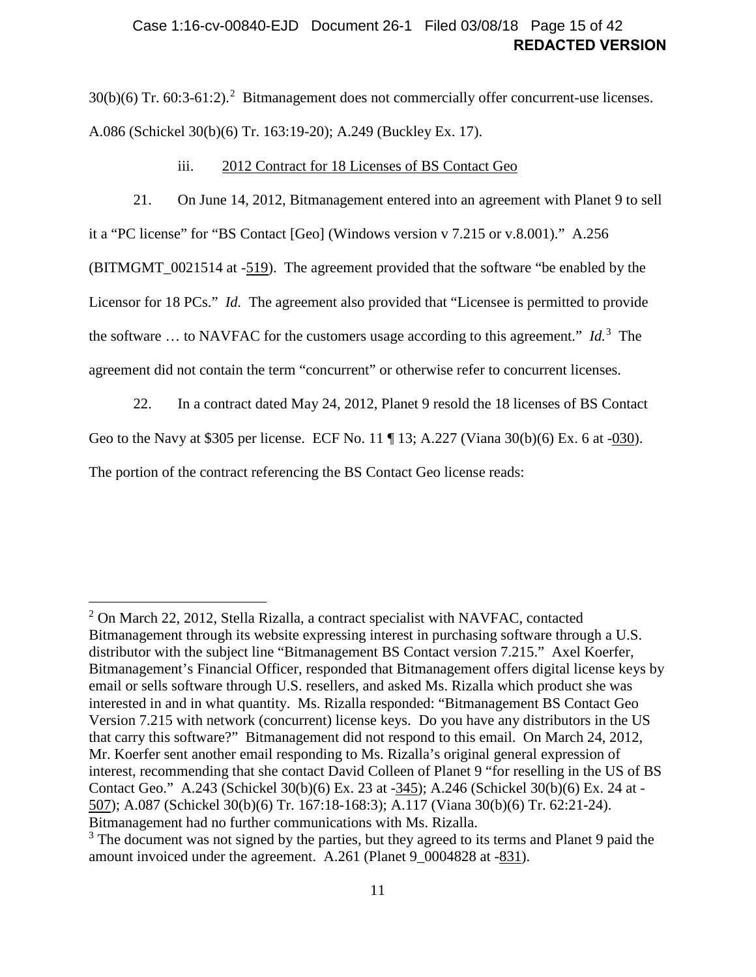### **REDACTED VERSION** Case 1:16-cv-00840-EJD Document 26-1 Filed 03/08/18 Page 15 of 42

 $30(b)(6)$  Tr.  $60:3-61:2$  $60:3-61:2$ ).<sup>2</sup> Bitmanagement does not commercially offer concurrent-use licenses. A.086 (Schickel 30(b)(6) Tr. 163:19-20); A.249 (Buckley Ex. 17).

iii. 2012 Contract for 18 Licenses of BS Contact Geo

<span id="page-14-3"></span><span id="page-14-0"></span>21. On June 14, 2012, Bitmanagement entered into an agreement with Planet 9 to sell

it a "PC license" for "BS Contact [Geo] (Windows version v 7.215 or v.8.001)." A.256

(BITMGMT\_0021514 at -519). The agreement provided that the software "be enabled by the

Licensor for 18 PCs." *Id.* The agreement also provided that "Licensee is permitted to provide

the software … to NAVFAC for the customers usage according to this agreement." *Id.*[3](#page-14-2) The

agreement did not contain the term "concurrent" or otherwise refer to concurrent licenses.

 $\overline{a}$ 

<span id="page-14-4"></span>22. In a contract dated May 24, 2012, Planet 9 resold the 18 licenses of BS Contact Geo to the Navy at \$305 per license. ECF No. 11 ¶ 13; A.227 (Viana 30(b)(6) Ex. 6 at -030). The portion of the contract referencing the BS Contact Geo license reads:

<span id="page-14-1"></span> $2^2$  On March 22, 2012, Stella Rizalla, a contract specialist with NAVFAC, contacted Bitmanagement through its website expressing interest in purchasing software through a U.S. distributor with the subject line "Bitmanagement BS Contact version 7.215." Axel Koerfer, Bitmanagement's Financial Officer, responded that Bitmanagement offers digital license keys by email or sells software through U.S. resellers, and asked Ms. Rizalla which product she was interested in and in what quantity. Ms. Rizalla responded: "Bitmanagement BS Contact Geo Version 7.215 with network (concurrent) license keys. Do you have any distributors in the US that carry this software?" Bitmanagement did not respond to this email. On March 24, 2012, Mr. Koerfer sent another email responding to Ms. Rizalla's original general expression of interest, recommending that she contact David Colleen of Planet 9 "for reselling in the US of BS Contact Geo." A.243 (Schickel 30(b)(6) Ex. 23 at -345); A.246 (Schickel 30(b)(6) Ex. 24 at - 507); A.087 (Schickel 30(b)(6) Tr. 167:18-168:3); A.117 (Viana 30(b)(6) Tr. 62:21-24). Bitmanagement had no further communications with Ms. Rizalla.

<span id="page-14-2"></span><sup>&</sup>lt;sup>3</sup> The document was not signed by the parties, but they agreed to its terms and Planet 9 paid the amount invoiced under the agreement. A.261 (Planet 9\_0004828 at -831).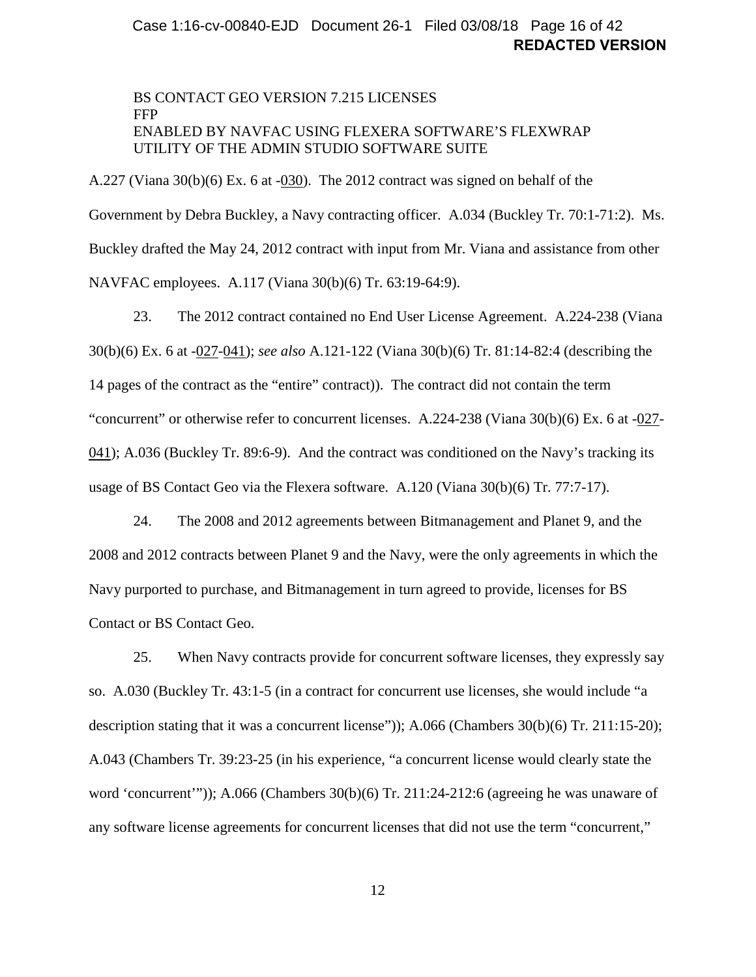### **REDACTED VERSION** Case 1:16-cv-00840-EJD Document 26-1 Filed 03/08/18 Page 16 of 42

### BS CONTACT GEO VERSION 7.215 LICENSES FFP ENABLED BY NAVFAC USING FLEXERA SOFTWARE'S FLEXWRAP UTILITY OF THE ADMIN STUDIO SOFTWARE SUITE

A.227 (Viana 30(b)(6) Ex. 6 at -030). The 2012 contract was signed on behalf of the Government by Debra Buckley, a Navy contracting officer. A.034 (Buckley Tr. 70:1-71:2). Ms. Buckley drafted the May 24, 2012 contract with input from Mr. Viana and assistance from other NAVFAC employees. A.117 (Viana 30(b)(6) Tr. 63:19-64:9).

<span id="page-15-0"></span>23. The 2012 contract contained no End User License Agreement. A.224-238 (Viana 30(b)(6) Ex. 6 at -027-041); *see also* A.121-122 (Viana 30(b)(6) Tr. 81:14-82:4 (describing the 14 pages of the contract as the "entire" contract)). The contract did not contain the term "concurrent" or otherwise refer to concurrent licenses. A.224-238 (Viana 30(b)(6) Ex. 6 at -027- 041); A.036 (Buckley Tr. 89:6-9). And the contract was conditioned on the Navy's tracking its usage of BS Contact Geo via the Flexera software. A.120 (Viana 30(b)(6) Tr. 77:7-17).

24. The 2008 and 2012 agreements between Bitmanagement and Planet 9, and the 2008 and 2012 contracts between Planet 9 and the Navy, were the only agreements in which the Navy purported to purchase, and Bitmanagement in turn agreed to provide, licenses for BS Contact or BS Contact Geo.

<span id="page-15-1"></span>25. When Navy contracts provide for concurrent software licenses, they expressly say so. A.030 (Buckley Tr. 43:1-5 (in a contract for concurrent use licenses, she would include "a description stating that it was a concurrent license")); A.066 (Chambers 30(b)(6) Tr. 211:15-20); A.043 (Chambers Tr. 39:23-25 (in his experience, "a concurrent license would clearly state the word 'concurrent'")); A.066 (Chambers 30(b)(6) Tr. 211:24-212:6 (agreeing he was unaware of any software license agreements for concurrent licenses that did not use the term "concurrent,"

12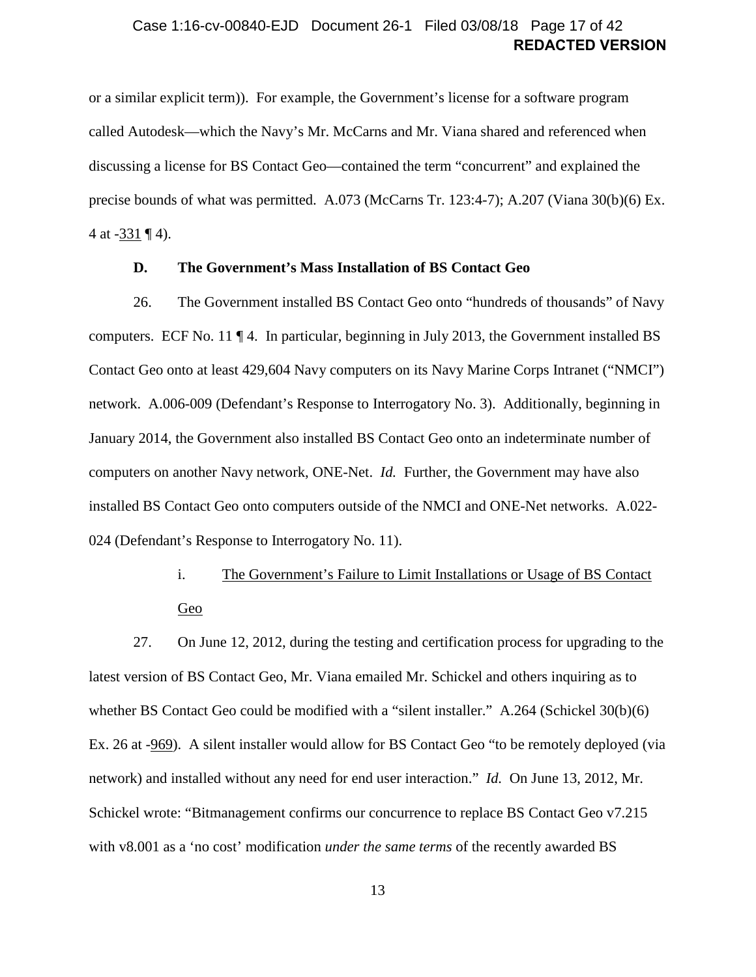### **REDACTED VERSION** Case 1:16-cv-00840-EJD Document 26-1 Filed 03/08/18 Page 17 of 42

or a similar explicit term)). For example, the Government's license for a software program called Autodesk—which the Navy's Mr. McCarns and Mr. Viana shared and referenced when discussing a license for BS Contact Geo—contained the term "concurrent" and explained the precise bounds of what was permitted. A.073 (McCarns Tr. 123:4-7); A.207 (Viana 30(b)(6) Ex. 4 at -331 ¶ 4).

#### **D. The Government's Mass Installation of BS Contact Geo**

<span id="page-16-0"></span>26. The Government installed BS Contact Geo onto "hundreds of thousands" of Navy computers. ECF No. 11 ¶ 4. In particular, beginning in July 2013, the Government installed BS Contact Geo onto at least 429,604 Navy computers on its Navy Marine Corps Intranet ("NMCI") network. A.006-009 (Defendant's Response to Interrogatory No. 3). Additionally, beginning in January 2014, the Government also installed BS Contact Geo onto an indeterminate number of computers on another Navy network, ONE-Net. *Id.* Further, the Government may have also installed BS Contact Geo onto computers outside of the NMCI and ONE-Net networks. A.022- 024 (Defendant's Response to Interrogatory No. 11).

> i. The Government's Failure to Limit Installations or Usage of BS Contact Geo

<span id="page-16-2"></span><span id="page-16-1"></span>27. On June 12, 2012, during the testing and certification process for upgrading to the latest version of BS Contact Geo, Mr. Viana emailed Mr. Schickel and others inquiring as to whether BS Contact Geo could be modified with a "silent installer." A.264 (Schickel 30(b)(6) Ex. 26 at -969). A silent installer would allow for BS Contact Geo "to be remotely deployed (via network) and installed without any need for end user interaction." *Id.* On June 13, 2012, Mr. Schickel wrote: "Bitmanagement confirms our concurrence to replace BS Contact Geo v7.215 with v8.001 as a 'no cost' modification *under the same terms* of the recently awarded BS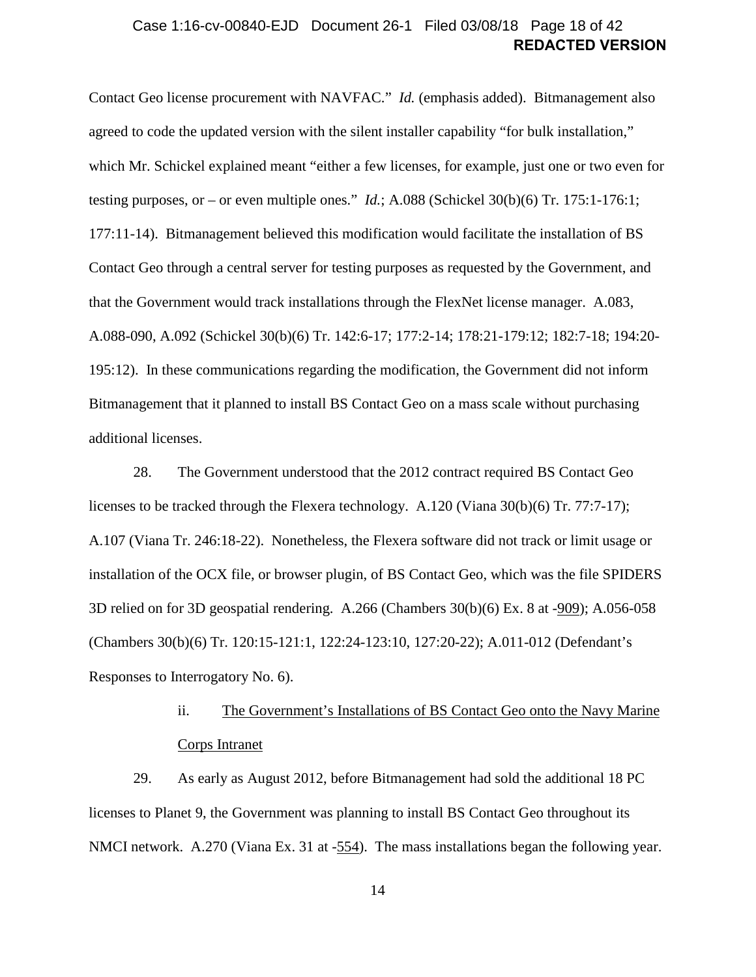### **REDACTED VERSION** Case 1:16-cv-00840-EJD Document 26-1 Filed 03/08/18 Page 18 of 42

Contact Geo license procurement with NAVFAC." *Id.* (emphasis added). Bitmanagement also agreed to code the updated version with the silent installer capability "for bulk installation," which Mr. Schickel explained meant "either a few licenses, for example, just one or two even for testing purposes, or – or even multiple ones." *Id.*; A.088 (Schickel 30(b)(6) Tr. 175:1-176:1; 177:11-14). Bitmanagement believed this modification would facilitate the installation of BS Contact Geo through a central server for testing purposes as requested by the Government, and that the Government would track installations through the FlexNet license manager. A.083, A.088-090, A.092 (Schickel 30(b)(6) Tr. 142:6-17; 177:2-14; 178:21-179:12; 182:7-18; 194:20- 195:12). In these communications regarding the modification, the Government did not inform Bitmanagement that it planned to install BS Contact Geo on a mass scale without purchasing additional licenses.

<span id="page-17-2"></span>28. The Government understood that the 2012 contract required BS Contact Geo licenses to be tracked through the Flexera technology. A.120 (Viana 30(b)(6) Tr. 77:7-17); A.107 (Viana Tr. 246:18-22). Nonetheless, the Flexera software did not track or limit usage or installation of the OCX file, or browser plugin, of BS Contact Geo, which was the file SPIDERS 3D relied on for 3D geospatial rendering. A.266 (Chambers 30(b)(6) Ex. 8 at -909); A.056-058 (Chambers 30(b)(6) Tr. 120:15-121:1, 122:24-123:10, 127:20-22); A.011-012 (Defendant's Responses to Interrogatory No. 6).

# ii. The Government's Installations of BS Contact Geo onto the Navy Marine Corps Intranet

<span id="page-17-1"></span><span id="page-17-0"></span>29. As early as August 2012, before Bitmanagement had sold the additional 18 PC licenses to Planet 9, the Government was planning to install BS Contact Geo throughout its NMCI network. A.270 (Viana Ex. 31 at -554). The mass installations began the following year.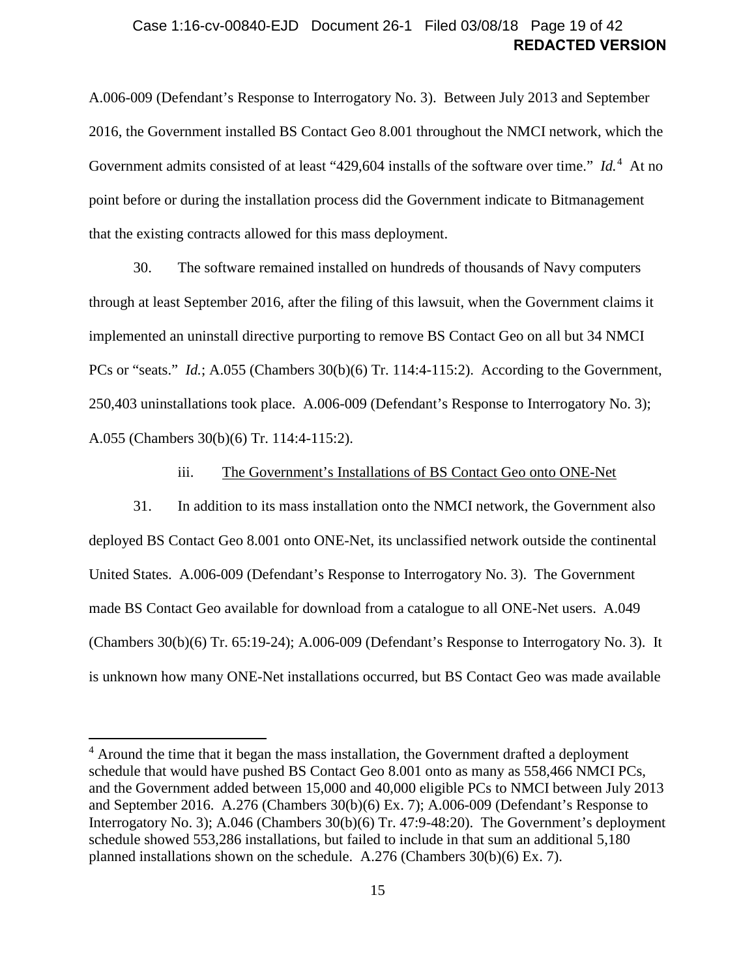### **REDACTED VERSION** Case 1:16-cv-00840-EJD Document 26-1 Filed 03/08/18 Page 19 of 42

A.006-009 (Defendant's Response to Interrogatory No. 3). Between July 2013 and September 2016, the Government installed BS Contact Geo 8.001 throughout the NMCI network, which the Government admits consisted of at least "[4](#page-18-1)29,604 installs of the software over time." *Id.*<sup>4</sup> At no point before or during the installation process did the Government indicate to Bitmanagement that the existing contracts allowed for this mass deployment.

30. The software remained installed on hundreds of thousands of Navy computers through at least September 2016, after the filing of this lawsuit, when the Government claims it implemented an uninstall directive purporting to remove BS Contact Geo on all but 34 NMCI PCs or "seats." *Id.*; A.055 (Chambers 30(b)(6) Tr. 114:4-115:2). According to the Government, 250,403 uninstallations took place. A.006-009 (Defendant's Response to Interrogatory No. 3); A.055 (Chambers 30(b)(6) Tr. 114:4-115:2).

#### iii. The Government's Installations of BS Contact Geo onto ONE-Net

<span id="page-18-2"></span><span id="page-18-0"></span>31. In addition to its mass installation onto the NMCI network, the Government also deployed BS Contact Geo 8.001 onto ONE-Net, its unclassified network outside the continental United States. A.006-009 (Defendant's Response to Interrogatory No. 3). The Government made BS Contact Geo available for download from a catalogue to all ONE-Net users. A.049 (Chambers 30(b)(6) Tr. 65:19-24); A.006-009 (Defendant's Response to Interrogatory No. 3). It is unknown how many ONE-Net installations occurred, but BS Contact Geo was made available

<span id="page-18-1"></span><sup>&</sup>lt;sup>4</sup> Around the time that it began the mass installation, the Government drafted a deployment schedule that would have pushed BS Contact Geo 8.001 onto as many as 558,466 NMCI PCs, and the Government added between 15,000 and 40,000 eligible PCs to NMCI between July 2013 and September 2016. A.276 (Chambers 30(b)(6) Ex. 7); A.006-009 (Defendant's Response to Interrogatory No. 3); A.046 (Chambers 30(b)(6) Tr. 47:9-48:20). The Government's deployment schedule showed 553,286 installations, but failed to include in that sum an additional 5,180 planned installations shown on the schedule. A.276 (Chambers 30(b)(6) Ex. 7).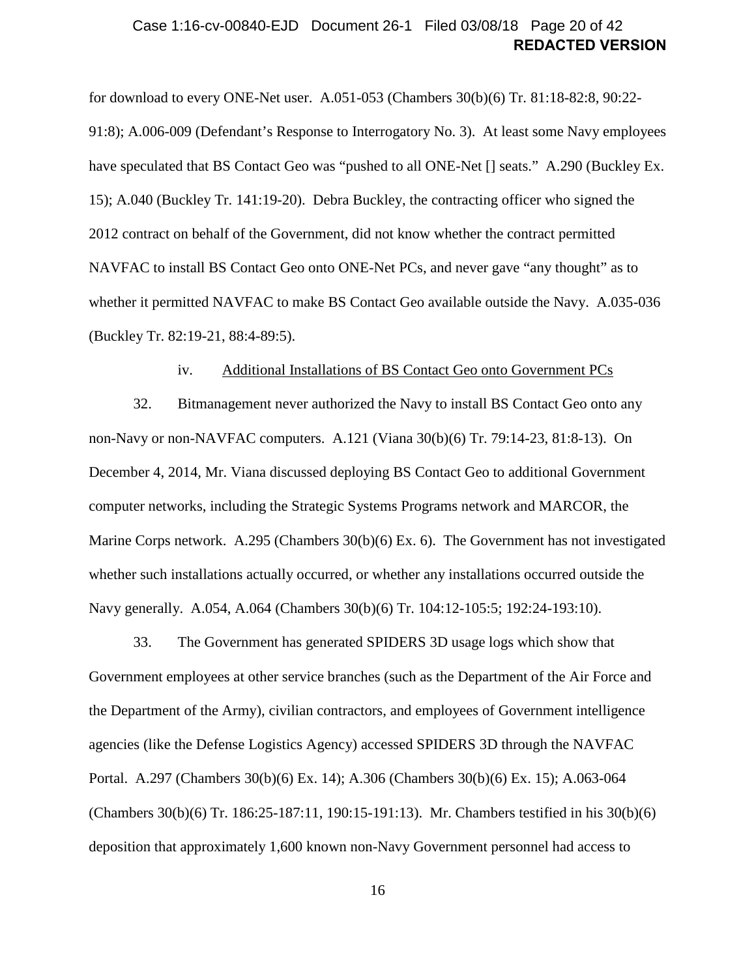### **REDACTED VERSION** Case 1:16-cv-00840-EJD Document 26-1 Filed 03/08/18 Page 20 of 42

for download to every ONE-Net user. A.051-053 (Chambers 30(b)(6) Tr. 81:18-82:8, 90:22- 91:8); A.006-009 (Defendant's Response to Interrogatory No. 3). At least some Navy employees have speculated that BS Contact Geo was "pushed to all ONE-Net [] seats." A.290 (Buckley Ex. 15); A.040 (Buckley Tr. 141:19-20). Debra Buckley, the contracting officer who signed the 2012 contract on behalf of the Government, did not know whether the contract permitted NAVFAC to install BS Contact Geo onto ONE-Net PCs, and never gave "any thought" as to whether it permitted NAVFAC to make BS Contact Geo available outside the Navy. A.035-036 (Buckley Tr. 82:19-21, 88:4-89:5).

#### iv. Additional Installations of BS Contact Geo onto Government PCs

<span id="page-19-0"></span>32. Bitmanagement never authorized the Navy to install BS Contact Geo onto any non-Navy or non-NAVFAC computers. A.121 (Viana 30(b)(6) Tr. 79:14-23, 81:8-13). On December 4, 2014, Mr. Viana discussed deploying BS Contact Geo to additional Government computer networks, including the Strategic Systems Programs network and MARCOR, the Marine Corps network. A.295 (Chambers 30(b)(6) Ex. 6). The Government has not investigated whether such installations actually occurred, or whether any installations occurred outside the Navy generally. A.054, A.064 (Chambers 30(b)(6) Tr. 104:12-105:5; 192:24-193:10).

33. The Government has generated SPIDERS 3D usage logs which show that Government employees at other service branches (such as the Department of the Air Force and the Department of the Army), civilian contractors, and employees of Government intelligence agencies (like the Defense Logistics Agency) accessed SPIDERS 3D through the NAVFAC Portal. A.297 (Chambers 30(b)(6) Ex. 14); A.306 (Chambers 30(b)(6) Ex. 15); A.063-064 (Chambers 30(b)(6) Tr. 186:25-187:11, 190:15-191:13). Mr. Chambers testified in his 30(b)(6) deposition that approximately 1,600 known non-Navy Government personnel had access to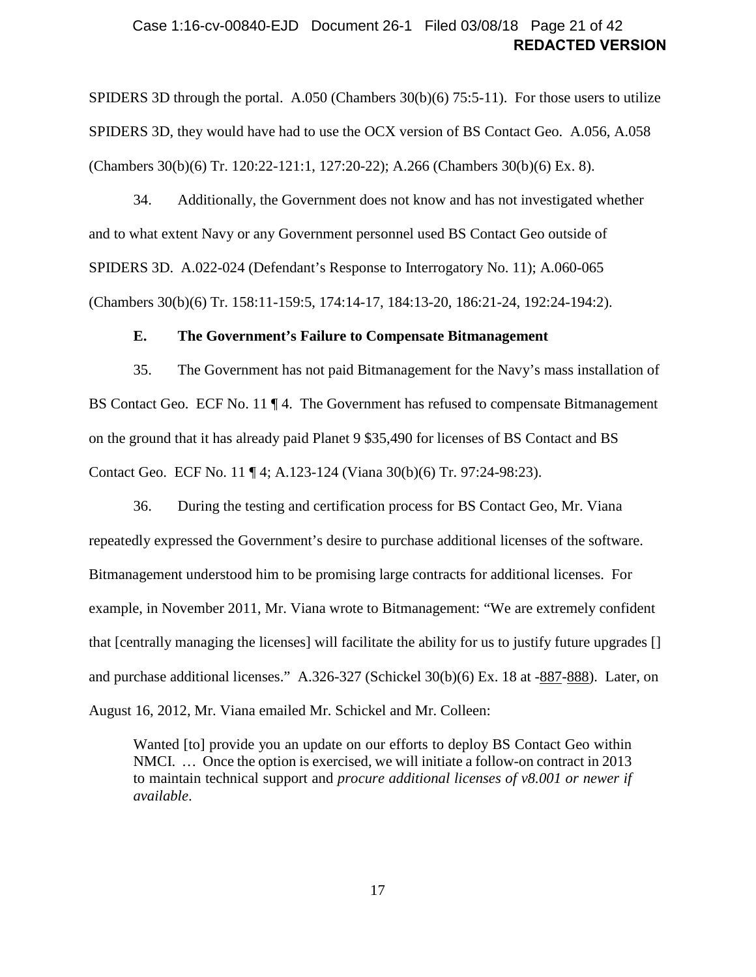### **REDACTED VERSION** Case 1:16-cv-00840-EJD Document 26-1 Filed 03/08/18 Page 21 of 42

SPIDERS 3D through the portal. A.050 (Chambers  $30(b)(6)$  75:5-11). For those users to utilize SPIDERS 3D, they would have had to use the OCX version of BS Contact Geo. A.056, A.058 (Chambers 30(b)(6) Tr. 120:22-121:1, 127:20-22); A.266 (Chambers 30(b)(6) Ex. 8).

34. Additionally, the Government does not know and has not investigated whether and to what extent Navy or any Government personnel used BS Contact Geo outside of SPIDERS 3D. A.022-024 (Defendant's Response to Interrogatory No. 11); A.060-065 (Chambers 30(b)(6) Tr. 158:11-159:5, 174:14-17, 184:13-20, 186:21-24, 192:24-194:2).

#### **E. The Government's Failure to Compensate Bitmanagement**

<span id="page-20-2"></span><span id="page-20-0"></span>35. The Government has not paid Bitmanagement for the Navy's mass installation of BS Contact Geo. ECF No. 11  $\P$  4. The Government has refused to compensate Bitmanagement on the ground that it has already paid Planet 9 \$35,490 for licenses of BS Contact and BS Contact Geo. ECF No. 11 ¶ 4; A.123-124 (Viana 30(b)(6) Tr. 97:24-98:23).

<span id="page-20-1"></span>36. During the testing and certification process for BS Contact Geo, Mr. Viana repeatedly expressed the Government's desire to purchase additional licenses of the software. Bitmanagement understood him to be promising large contracts for additional licenses. For example, in November 2011, Mr. Viana wrote to Bitmanagement: "We are extremely confident that [centrally managing the licenses] will facilitate the ability for us to justify future upgrades [] and purchase additional licenses." A.326-327 (Schickel 30(b)(6) Ex. 18 at -887-888). Later, on August 16, 2012, Mr. Viana emailed Mr. Schickel and Mr. Colleen:

Wanted [to] provide you an update on our efforts to deploy BS Contact Geo within NMCI. … Once the option is exercised, we will initiate a follow-on contract in 2013 to maintain technical support and *procure additional licenses of v8.001 or newer if available*.

17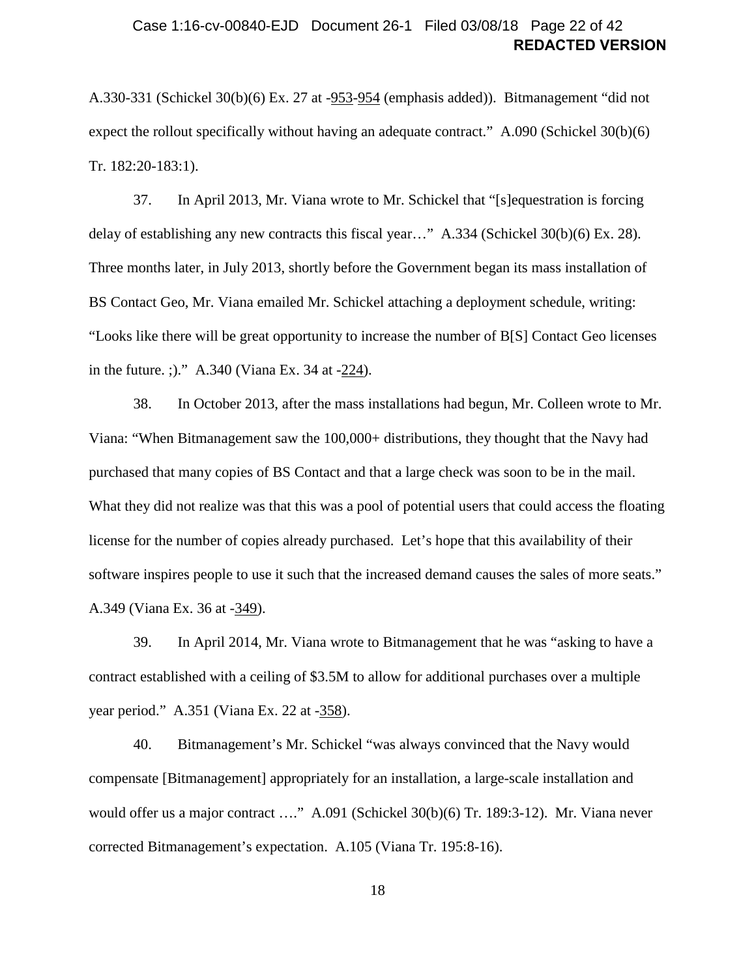### **REDACTED VERSION** Case 1:16-cv-00840-EJD Document 26-1 Filed 03/08/18 Page 22 of 42

A.330-331 (Schickel 30(b)(6) Ex. 27 at -953-954 (emphasis added)). Bitmanagement "did not expect the rollout specifically without having an adequate contract." A.090 (Schickel 30(b)(6) Tr. 182:20-183:1).

<span id="page-21-2"></span>37. In April 2013, Mr. Viana wrote to Mr. Schickel that "[s]equestration is forcing delay of establishing any new contracts this fiscal year…" A.334 (Schickel 30(b)(6) Ex. 28). Three months later, in July 2013, shortly before the Government began its mass installation of BS Contact Geo, Mr. Viana emailed Mr. Schickel attaching a deployment schedule, writing: "Looks like there will be great opportunity to increase the number of B[S] Contact Geo licenses in the future. ;)." A.340 (Viana Ex. 34 at -224).

<span id="page-21-3"></span>38. In October 2013, after the mass installations had begun, Mr. Colleen wrote to Mr. Viana: "When Bitmanagement saw the 100,000+ distributions, they thought that the Navy had purchased that many copies of BS Contact and that a large check was soon to be in the mail. What they did not realize was that this was a pool of potential users that could access the floating license for the number of copies already purchased. Let's hope that this availability of their software inspires people to use it such that the increased demand causes the sales of more seats." A.349 (Viana Ex. 36 at -349).

<span id="page-21-0"></span>39. In April 2014, Mr. Viana wrote to Bitmanagement that he was "asking to have a contract established with a ceiling of \$3.5M to allow for additional purchases over a multiple year period." A.351 (Viana Ex. 22 at -358).

<span id="page-21-1"></span>40. Bitmanagement's Mr. Schickel "was always convinced that the Navy would compensate [Bitmanagement] appropriately for an installation, a large-scale installation and would offer us a major contract ...." A.091 (Schickel 30(b)(6) Tr. 189:3-12). Mr. Viana never corrected Bitmanagement's expectation. A.105 (Viana Tr. 195:8-16).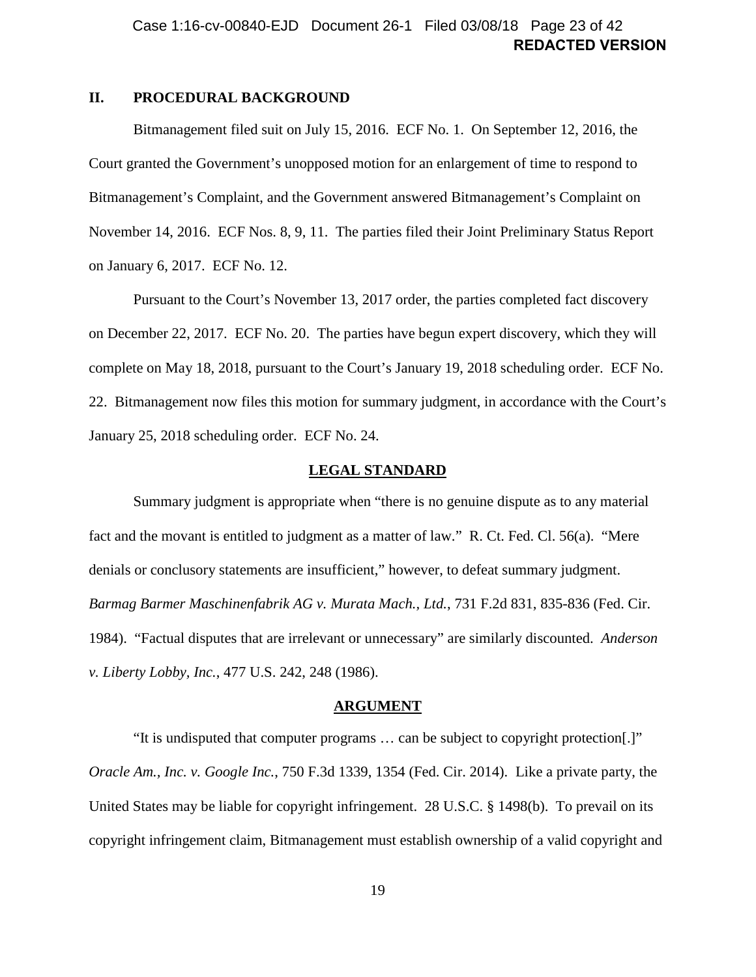### <span id="page-22-0"></span>**II. PROCEDURAL BACKGROUND**

Bitmanagement filed suit on July 15, 2016. ECF No. 1. On September 12, 2016, the Court granted the Government's unopposed motion for an enlargement of time to respond to Bitmanagement's Complaint, and the Government answered Bitmanagement's Complaint on November 14, 2016. ECF Nos. 8, 9, 11. The parties filed their Joint Preliminary Status Report on January 6, 2017. ECF No. 12.

Pursuant to the Court's November 13, 2017 order, the parties completed fact discovery on December 22, 2017. ECF No. 20. The parties have begun expert discovery, which they will complete on May 18, 2018, pursuant to the Court's January 19, 2018 scheduling order. ECF No. 22. Bitmanagement now files this motion for summary judgment, in accordance with the Court's January 25, 2018 scheduling order. ECF No. 24.

#### **LEGAL STANDARD**

<span id="page-22-4"></span><span id="page-22-1"></span>Summary judgment is appropriate when "there is no genuine dispute as to any material fact and the movant is entitled to judgment as a matter of law." R. Ct. Fed. Cl. 56(a). "Mere denials or conclusory statements are insufficient," however, to defeat summary judgment. *Barmag Barmer Maschinenfabrik AG v. Murata Mach., Ltd.*, 731 F.2d 831, 835-836 (Fed. Cir. 1984). "Factual disputes that are irrelevant or unnecessary" are similarly discounted. *Anderson v. Liberty Lobby, Inc.*, 477 U.S. 242, 248 (1986).

#### <span id="page-22-6"></span><span id="page-22-3"></span>**ARGUMENT**

<span id="page-22-5"></span><span id="page-22-2"></span>"It is undisputed that computer programs … can be subject to copyright protection[.]" *Oracle Am., Inc. v. Google Inc.*, 750 F.3d 1339, 1354 (Fed. Cir. 2014). Like a private party, the United States may be liable for copyright infringement. 28 U.S.C. § 1498(b). To prevail on its copyright infringement claim, Bitmanagement must establish ownership of a valid copyright and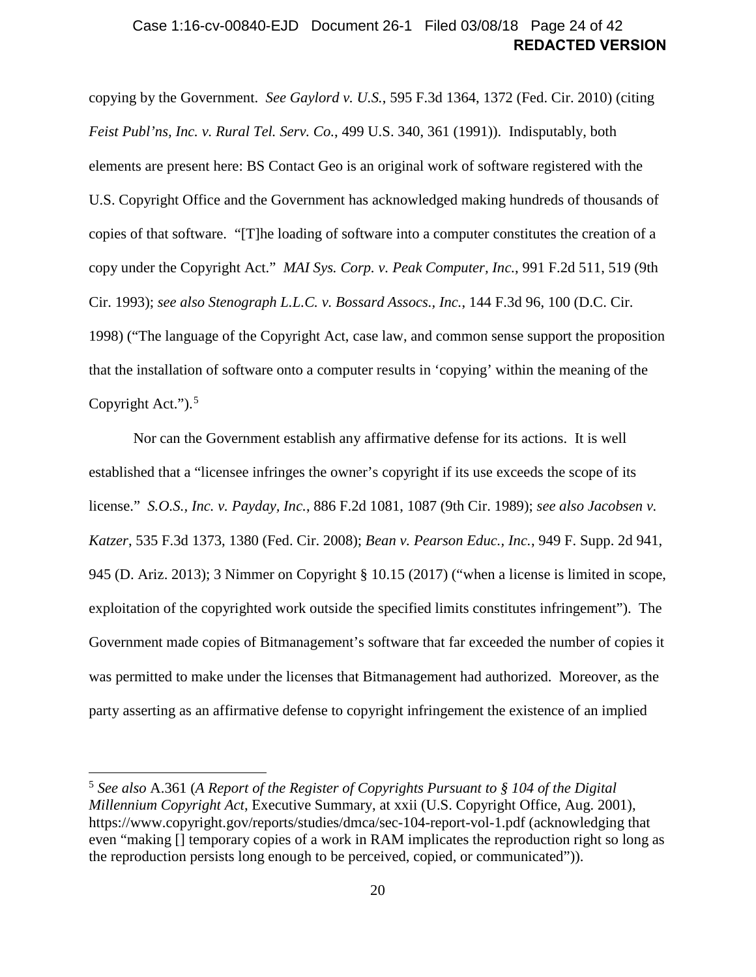### <span id="page-23-1"></span>**REDACTED VERSION** Case 1:16-cv-00840-EJD Document 26-1 Filed 03/08/18 Page 24 of 42

<span id="page-23-3"></span>copying by the Government. *See Gaylord v. U.S.*, 595 F.3d 1364, 1372 (Fed. Cir. 2010) (citing *Feist Publ'ns, Inc. v. Rural Tel. Serv. Co.*, 499 U.S. 340, 361 (1991)). Indisputably, both elements are present here: BS Contact Geo is an original work of software registered with the U.S. Copyright Office and the Government has acknowledged making hundreds of thousands of copies of that software. "[T]he loading of software into a computer constitutes the creation of a copy under the Copyright Act." *MAI Sys. Corp. v. Peak Computer, Inc.*, 991 F.2d 511, 519 (9th Cir. 1993); *see also Stenograph L.L.C. v. Bossard Assocs., Inc.*, 144 F.3d 96, 100 (D.C. Cir. 1998) ("The language of the Copyright Act, case law, and common sense support the proposition that the installation of software onto a computer results in 'copying' within the meaning of the Copyright Act.").<sup>[5](#page-23-6)</sup>

<span id="page-23-4"></span><span id="page-23-2"></span><span id="page-23-0"></span>Nor can the Government establish any affirmative defense for its actions. It is well established that a "licensee infringes the owner's copyright if its use exceeds the scope of its license." *S.O.S., Inc. v. Payday, Inc.*, 886 F.2d 1081, 1087 (9th Cir. 1989); *see also Jacobsen v. Katzer*, 535 F.3d 1373, 1380 (Fed. Cir. 2008); *Bean v. Pearson Educ., Inc.*, 949 F. Supp. 2d 941, 945 (D. Ariz. 2013); 3 Nimmer on Copyright § 10.15 (2017) ("when a license is limited in scope, exploitation of the copyrighted work outside the specified limits constitutes infringement"). The Government made copies of Bitmanagement's software that far exceeded the number of copies it was permitted to make under the licenses that Bitmanagement had authorized. Moreover, as the party asserting as an affirmative defense to copyright infringement the existence of an implied

<span id="page-23-6"></span><span id="page-23-5"></span><sup>5</sup> *See also* A.361 (*A Report of the Register of Copyrights Pursuant to § 104 of the Digital Millennium Copyright Act*, Executive Summary, at xxii (U.S. Copyright Office, Aug. 2001), https://www.copyright.gov/reports/studies/dmca/sec-104-report-vol-1.pdf (acknowledging that even "making [] temporary copies of a work in RAM implicates the reproduction right so long as the reproduction persists long enough to be perceived, copied, or communicated")).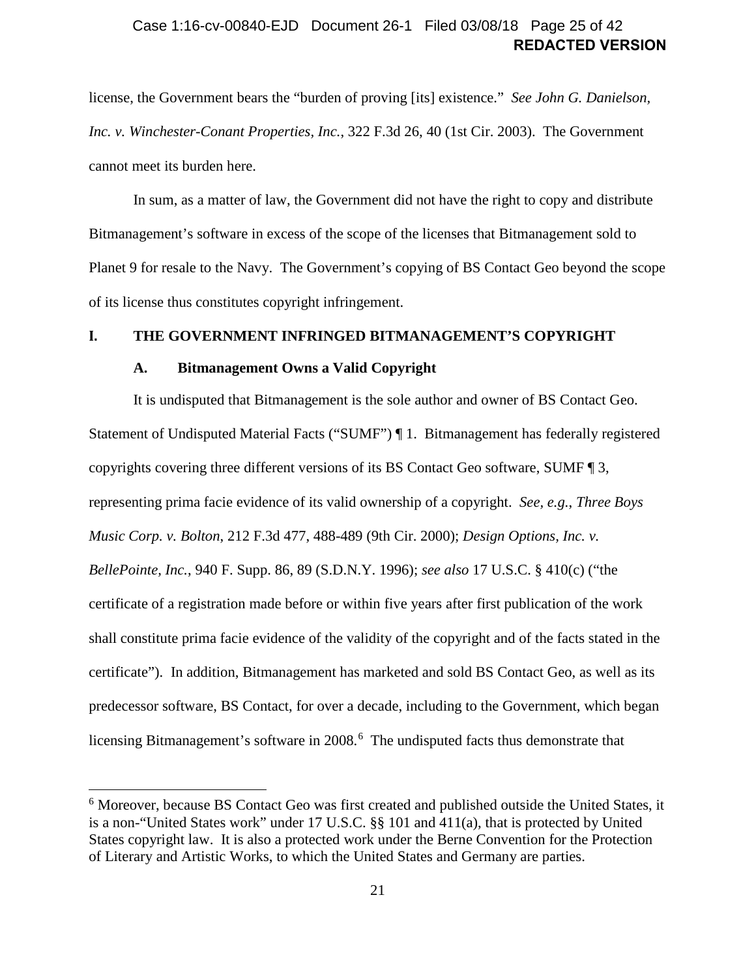### **REDACTED VERSION** Case 1:16-cv-00840-EJD Document 26-1 Filed 03/08/18 Page 25 of 42

license, the Government bears the "burden of proving [its] existence." *See John G. Danielson, Inc. v. Winchester-Conant Properties, Inc.*, 322 F.3d 26, 40 (1st Cir. 2003). The Government cannot meet its burden here.

In sum, as a matter of law, the Government did not have the right to copy and distribute Bitmanagement's software in excess of the scope of the licenses that Bitmanagement sold to Planet 9 for resale to the Navy. The Government's copying of BS Contact Geo beyond the scope of its license thus constitutes copyright infringement.

### <span id="page-24-1"></span><span id="page-24-0"></span>**I. THE GOVERNMENT INFRINGED BITMANAGEMENT'S COPYRIGHT**

#### <span id="page-24-5"></span><span id="page-24-3"></span><span id="page-24-2"></span>**A. Bitmanagement Owns a Valid Copyright**

<span id="page-24-4"></span> $\overline{a}$ 

It is undisputed that Bitmanagement is the sole author and owner of BS Contact Geo. Statement of Undisputed Material Facts ("SUMF") ¶ [1.](#page-6-5) Bitmanagement has federally registered copyrights covering three different versions of its BS Contact Geo software, SUMF ¶ [3,](#page-7-0) representing prima facie evidence of its valid ownership of a copyright. *See, e.g.*, *Three Boys Music Corp. v. Bolton*, 212 F.3d 477, 488-489 (9th Cir. 2000); *Design Options, Inc. v. BellePointe, Inc.*, 940 F. Supp. 86, 89 (S.D.N.Y. 1996); *see also* 17 U.S.C. § 410(c) ("the certificate of a registration made before or within five years after first publication of the work shall constitute prima facie evidence of the validity of the copyright and of the facts stated in the certificate"). In addition, Bitmanagement has marketed and sold BS Contact Geo, as well as its predecessor software, BS Contact, for over a decade, including to the Government, which began licensing Bitmanagement's software in 2008.<sup>[6](#page-24-6)</sup> The undisputed facts thus demonstrate that

<span id="page-24-6"></span><sup>&</sup>lt;sup>6</sup> Moreover, because BS Contact Geo was first created and published outside the United States, it is a non-"United States work" under 17 U.S.C. §§ 101 and 411(a), that is protected by United States copyright law. It is also a protected work under the Berne Convention for the Protection of Literary and Artistic Works, to which the United States and Germany are parties.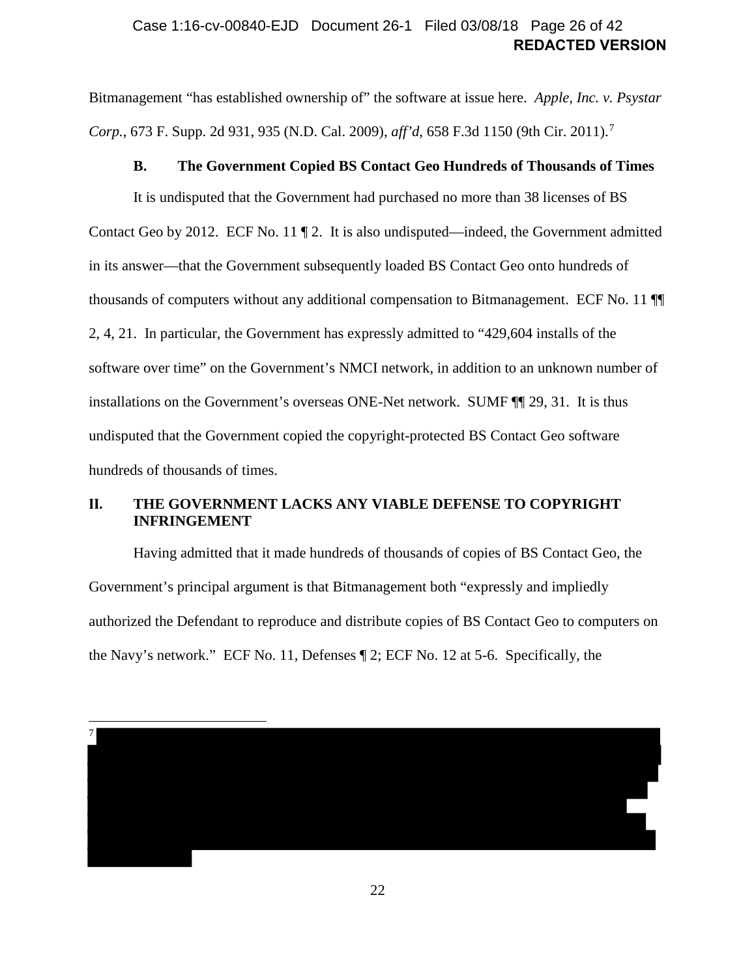### **REDACTED VERSION** Case 1:16-cv-00840-EJD Document 26-1 Filed 03/08/18 Page 26 of 42

Bitmanagement "has established ownership of" the software at issue here. *Apple, Inc. v. Psystar Corp.*, 6[7](#page-25-3)3 F. Supp. 2d 931, 935 (N.D. Cal. 2009), *aff'd*, 658 F.3d 1150 (9th Cir. 2011).<sup>7</sup>

#### <span id="page-25-2"></span>**B. The Government Copied BS Contact Geo Hundreds of Thousands of Times**

<span id="page-25-0"></span>It is undisputed that the Government had purchased no more than 38 licenses of BS Contact Geo by 2012. ECF No. 11 ¶ 2. It is also undisputed—indeed, the Government admitted in its answer—that the Government subsequently loaded BS Contact Geo onto hundreds of thousands of computers without any additional compensation to Bitmanagement. ECF No. 11 ¶¶ 2, 4, 21. In particular, the Government has expressly admitted to "429,604 installs of the software over time" on the Government's NMCI network, in addition to an unknown number of installations on the Government's overseas ONE-Net network. SUMF ¶¶ [29,](#page-17-1) [31.](#page-18-2) It is thus undisputed that the Government copied the copyright-protected BS Contact Geo software hundreds of thousands of times.

### <span id="page-25-1"></span>**II. THE GOVERNMENT LACKS ANY VIABLE DEFENSE TO COPYRIGHT INFRINGEMENT**

Having admitted that it made hundreds of thousands of copies of BS Contact Geo, the Government's principal argument is that Bitmanagement both "expressly and impliedly authorized the Defendant to reproduce and distribute copies of BS Contact Geo to computers on the Navy's network." ECF No. 11, Defenses ¶ 2; ECF No. 12 at 5-6. Specifically, the

<span id="page-25-3"></span>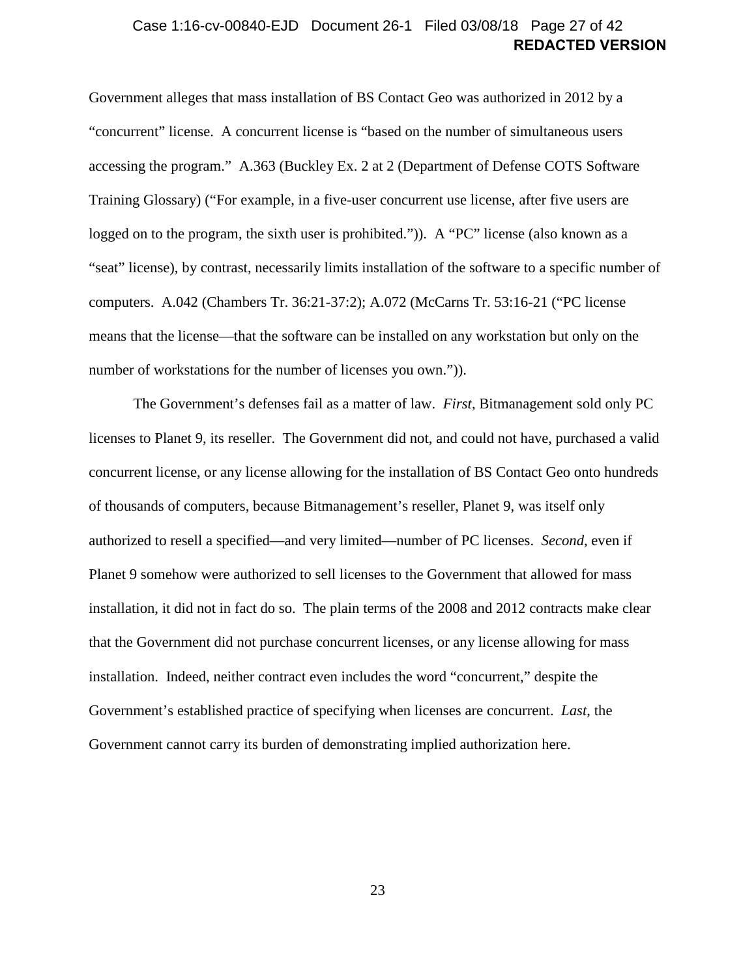### **REDACTED VERSION** Case 1:16-cv-00840-EJD Document 26-1 Filed 03/08/18 Page 27 of 42

Government alleges that mass installation of BS Contact Geo was authorized in 2012 by a "concurrent" license. A concurrent license is "based on the number of simultaneous users accessing the program." A.363 (Buckley Ex. 2 at 2 (Department of Defense COTS Software Training Glossary) ("For example, in a five-user concurrent use license, after five users are logged on to the program, the sixth user is prohibited.")). A "PC" license (also known as a "seat" license), by contrast, necessarily limits installation of the software to a specific number of computers. A.042 (Chambers Tr. 36:21-37:2); A.072 (McCarns Tr. 53:16-21 ("PC license means that the license—that the software can be installed on any workstation but only on the number of workstations for the number of licenses you own.")).

The Government's defenses fail as a matter of law. *First*, Bitmanagement sold only PC licenses to Planet 9, its reseller. The Government did not, and could not have, purchased a valid concurrent license, or any license allowing for the installation of BS Contact Geo onto hundreds of thousands of computers, because Bitmanagement's reseller, Planet 9, was itself only authorized to resell a specified—and very limited—number of PC licenses. *Second*, even if Planet 9 somehow were authorized to sell licenses to the Government that allowed for mass installation, it did not in fact do so. The plain terms of the 2008 and 2012 contracts make clear that the Government did not purchase concurrent licenses, or any license allowing for mass installation. Indeed, neither contract even includes the word "concurrent," despite the Government's established practice of specifying when licenses are concurrent. *Last*, the Government cannot carry its burden of demonstrating implied authorization here.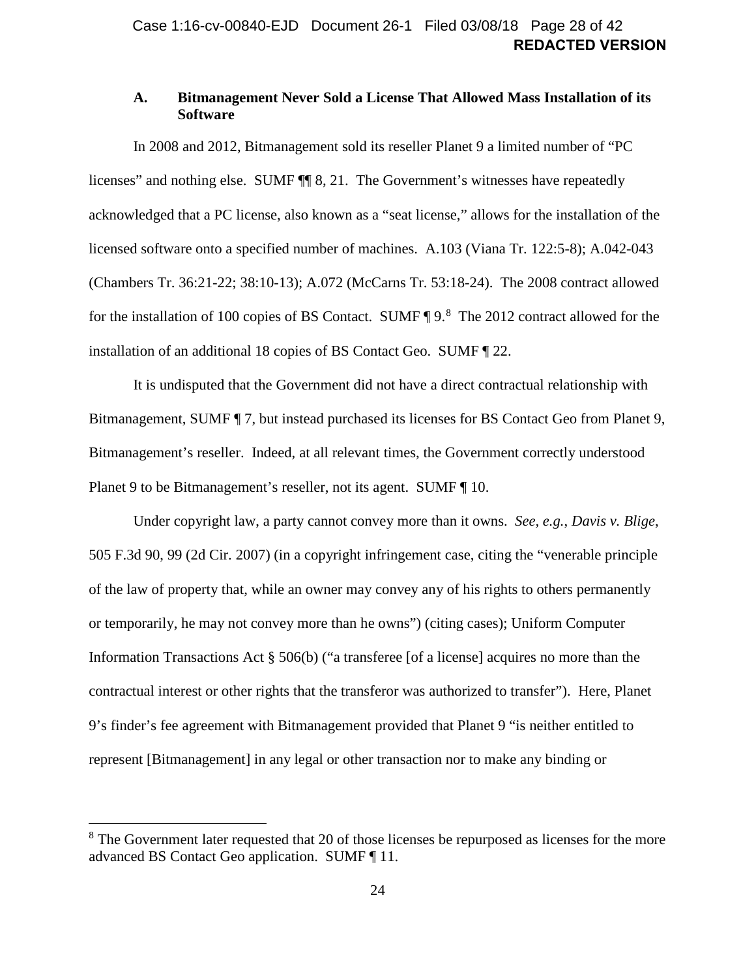### <span id="page-27-0"></span>**A. Bitmanagement Never Sold a License That Allowed Mass Installation of its Software**

In 2008 and 2012, Bitmanagement sold its reseller Planet 9 a limited number of "PC licenses" and nothing else. SUMF ¶¶ [8,](#page-9-0) [21.](#page-14-3) The Government's witnesses have repeatedly acknowledged that a PC license, also known as a "seat license," allows for the installation of the licensed software onto a specified number of machines. A.103 (Viana Tr. 122:5-8); A.042-043 (Chambers Tr. 36:21-22; 38:10-13); A.072 (McCarns Tr. 53:18-24). The 2008 contract allowed for the installation of 100 copies of BS Contact. SUMF ¶ [9.](#page-9-1)<sup>[8](#page-27-1)</sup> The 2012 contract allowed for the installation of an additional 18 copies of BS Contact Geo. SUMF ¶ [22.](#page-14-4)

It is undisputed that the Government did not have a direct contractual relationship with Bitmanagement, SUMF ¶ [7,](#page-8-1) but instead purchased its licenses for BS Contact Geo from Planet 9, Bitmanagement's reseller. Indeed, at all relevant times, the Government correctly understood Planet 9 to be Bitmanagement's reseller, not its agent. SUMF ¶ [10.](#page-9-2)

Under copyright law, a party cannot convey more than it owns. *See, e.g.*, *Davis v. Blige*, 505 F.3d 90, 99 (2d Cir. 2007) (in a copyright infringement case, citing the "venerable principle of the law of property that, while an owner may convey any of his rights to others permanently or temporarily, he may not convey more than he owns") (citing cases); Uniform Computer Information Transactions Act  $\S$  506(b) ("a transferee [of a license] acquires no more than the contractual interest or other rights that the transferor was authorized to transfer"). Here, Planet 9's finder's fee agreement with Bitmanagement provided that Planet 9 "is neither entitled to represent [Bitmanagement] in any legal or other transaction nor to make any binding or

<span id="page-27-1"></span><sup>&</sup>lt;sup>8</sup> The Government later requested that 20 of those licenses be repurposed as licenses for the more advanced BS Contact Geo application. SUMF ¶ [11.](#page-10-3)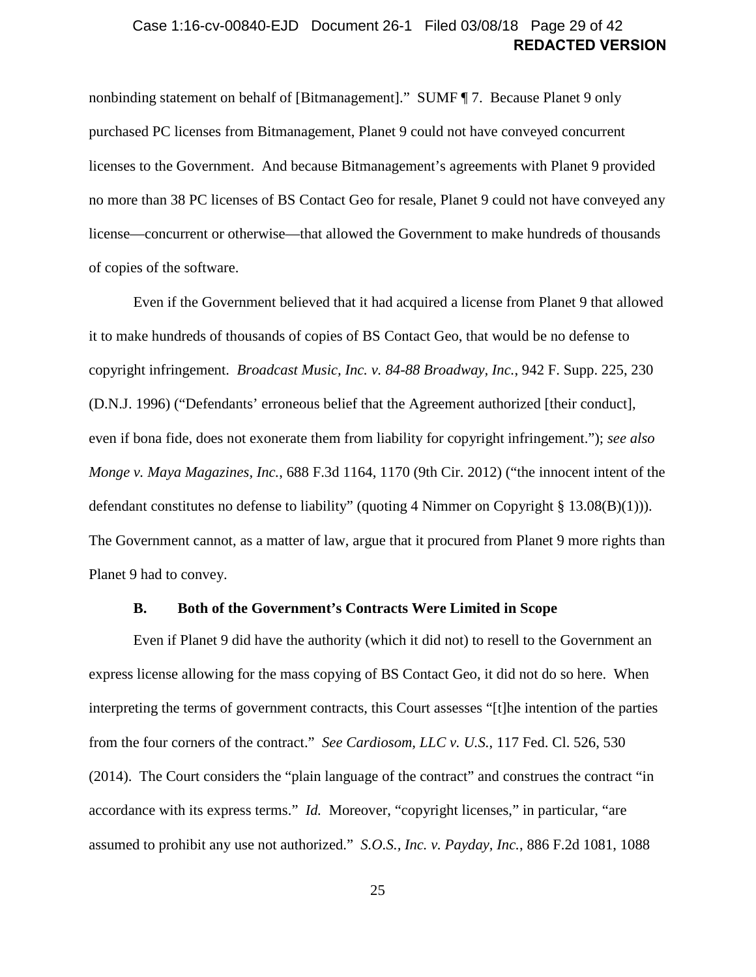### **REDACTED VERSION** Case 1:16-cv-00840-EJD Document 26-1 Filed 03/08/18 Page 29 of 42

nonbinding statement on behalf of [Bitmanagement]." SUMF ¶ [7.](#page-8-1) Because Planet 9 only purchased PC licenses from Bitmanagement, Planet 9 could not have conveyed concurrent licenses to the Government. And because Bitmanagement's agreements with Planet 9 provided no more than 38 PC licenses of BS Contact Geo for resale, Planet 9 could not have conveyed any license—concurrent or otherwise—that allowed the Government to make hundreds of thousands of copies of the software.

<span id="page-28-1"></span>Even if the Government believed that it had acquired a license from Planet 9 that allowed it to make hundreds of thousands of copies of BS Contact Geo, that would be no defense to copyright infringement. *Broadcast Music, Inc. v. 84-88 Broadway, Inc.*, 942 F. Supp. 225, 230 (D.N.J. 1996) ("Defendants' erroneous belief that the Agreement authorized [their conduct], even if bona fide, does not exonerate them from liability for copyright infringement."); *see also Monge v. Maya Magazines, Inc.*, 688 F.3d 1164, 1170 (9th Cir. 2012) ("the innocent intent of the defendant constitutes no defense to liability" (quoting 4 Nimmer on Copyright § 13.08(B)(1))). The Government cannot, as a matter of law, argue that it procured from Planet 9 more rights than Planet 9 had to convey.

#### <span id="page-28-3"></span><span id="page-28-2"></span>**B. Both of the Government's Contracts Were Limited in Scope**

<span id="page-28-0"></span>Even if Planet 9 did have the authority (which it did not) to resell to the Government an express license allowing for the mass copying of BS Contact Geo, it did not do so here. When interpreting the terms of government contracts, this Court assesses "[t]he intention of the parties from the four corners of the contract." *See Cardiosom, LLC v. U.S.*, 117 Fed. Cl. 526, 530 (2014). The Court considers the "plain language of the contract" and construes the contract "in accordance with its express terms." *Id.* Moreover, "copyright licenses," in particular, "are assumed to prohibit any use not authorized." *S.O.S., Inc. v. Payday, Inc.*, 886 F.2d 1081, 1088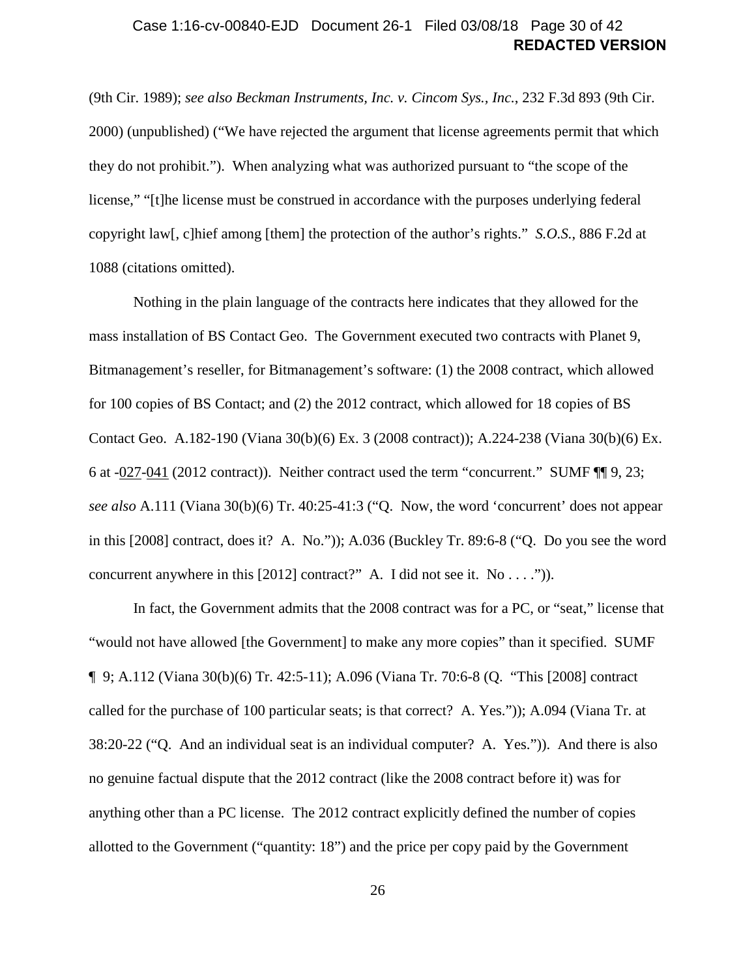### <span id="page-29-0"></span>**REDACTED VERSION** Case 1:16-cv-00840-EJD Document 26-1 Filed 03/08/18 Page 30 of 42

(9th Cir. 1989); *see also Beckman Instruments, Inc. v. Cincom Sys., Inc.*, 232 F.3d 893 (9th Cir. 2000) (unpublished) ("We have rejected the argument that license agreements permit that which they do not prohibit."). When analyzing what was authorized pursuant to "the scope of the license," "[t]he license must be construed in accordance with the purposes underlying federal copyright law[, c]hief among [them] the protection of the author's rights." *S.O.S.*, 886 F.2d at 1088 (citations omitted).

Nothing in the plain language of the contracts here indicates that they allowed for the mass installation of BS Contact Geo. The Government executed two contracts with Planet 9, Bitmanagement's reseller, for Bitmanagement's software: (1) the 2008 contract, which allowed for 100 copies of BS Contact; and (2) the 2012 contract, which allowed for 18 copies of BS Contact Geo. A.182-190 (Viana 30(b)(6) Ex. 3 (2008 contract)); A.224-238 (Viana 30(b)(6) Ex. 6 at -027-041 (2012 contract)). Neither contract used the term "concurrent." SUMF ¶¶ [9,](#page-9-1) [23;](#page-15-0) *see also* A.111 (Viana 30(b)(6) Tr. 40:25-41:3 ("Q. Now, the word 'concurrent' does not appear in this [2008] contract, does it? A. No.")); A.036 (Buckley Tr. 89:6-8 ("Q. Do you see the word concurrent anywhere in this [2012] contract?" A. I did not see it. No . . . .")).

In fact, the Government admits that the 2008 contract was for a PC, or "seat," license that "would not have allowed [the Government] to make any more copies" than it specified. SUMF ¶ [9;](#page-9-1) A.112 (Viana 30(b)(6) Tr. 42:5-11); A.096 (Viana Tr. 70:6-8 (Q. "This [2008] contract called for the purchase of 100 particular seats; is that correct? A. Yes.")); A.094 (Viana Tr. at 38:20-22 ("Q. And an individual seat is an individual computer? A. Yes.")). And there is also no genuine factual dispute that the 2012 contract (like the 2008 contract before it) was for anything other than a PC license. The 2012 contract explicitly defined the number of copies allotted to the Government ("quantity: 18") and the price per copy paid by the Government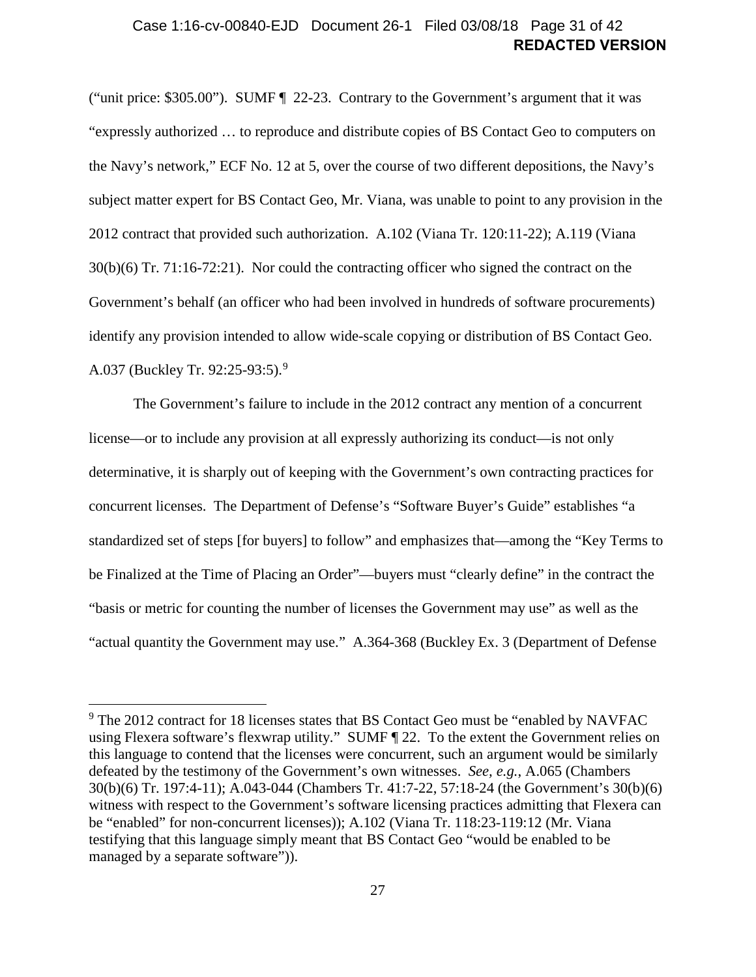### **REDACTED VERSION** Case 1:16-cv-00840-EJD Document 26-1 Filed 03/08/18 Page 31 of 42

("unit price: \$305.00"). SUMF ¶ [22](#page-14-4)[-23.](#page-15-0) Contrary to the Government's argument that it was "expressly authorized … to reproduce and distribute copies of BS Contact Geo to computers on the Navy's network," ECF No. 12 at 5, over the course of two different depositions, the Navy's subject matter expert for BS Contact Geo, Mr. Viana, was unable to point to any provision in the 2012 contract that provided such authorization. A.102 (Viana Tr. 120:11-22); A.119 (Viana 30(b)(6) Tr. 71:16-72:21). Nor could the contracting officer who signed the contract on the Government's behalf (an officer who had been involved in hundreds of software procurements) identify any provision intended to allow wide-scale copying or distribution of BS Contact Geo. A.037 (Buckley Tr. 92:25-93:5).[9](#page-30-0)

The Government's failure to include in the 2012 contract any mention of a concurrent license—or to include any provision at all expressly authorizing its conduct—is not only determinative, it is sharply out of keeping with the Government's own contracting practices for concurrent licenses. The Department of Defense's "Software Buyer's Guide" establishes "a standardized set of steps [for buyers] to follow" and emphasizes that—among the "Key Terms to be Finalized at the Time of Placing an Order"—buyers must "clearly define" in the contract the "basis or metric for counting the number of licenses the Government may use" as well as the "actual quantity the Government may use." A.364-368 (Buckley Ex. 3 (Department of Defense

<span id="page-30-0"></span><sup>&</sup>lt;sup>9</sup> The 2012 contract for 18 licenses states that BS Contact Geo must be "enabled by NAVFAC using Flexera software's flexwrap utility." SUMF ¶ [22.](#page-14-4) To the extent the Government relies on this language to contend that the licenses were concurrent, such an argument would be similarly defeated by the testimony of the Government's own witnesses. *See, e.g.*, A.065 (Chambers 30(b)(6) Tr. 197:4-11); A.043-044 (Chambers Tr. 41:7-22, 57:18-24 (the Government's 30(b)(6) witness with respect to the Government's software licensing practices admitting that Flexera can be "enabled" for non-concurrent licenses)); A.102 (Viana Tr. 118:23-119:12 (Mr. Viana testifying that this language simply meant that BS Contact Geo "would be enabled to be managed by a separate software")).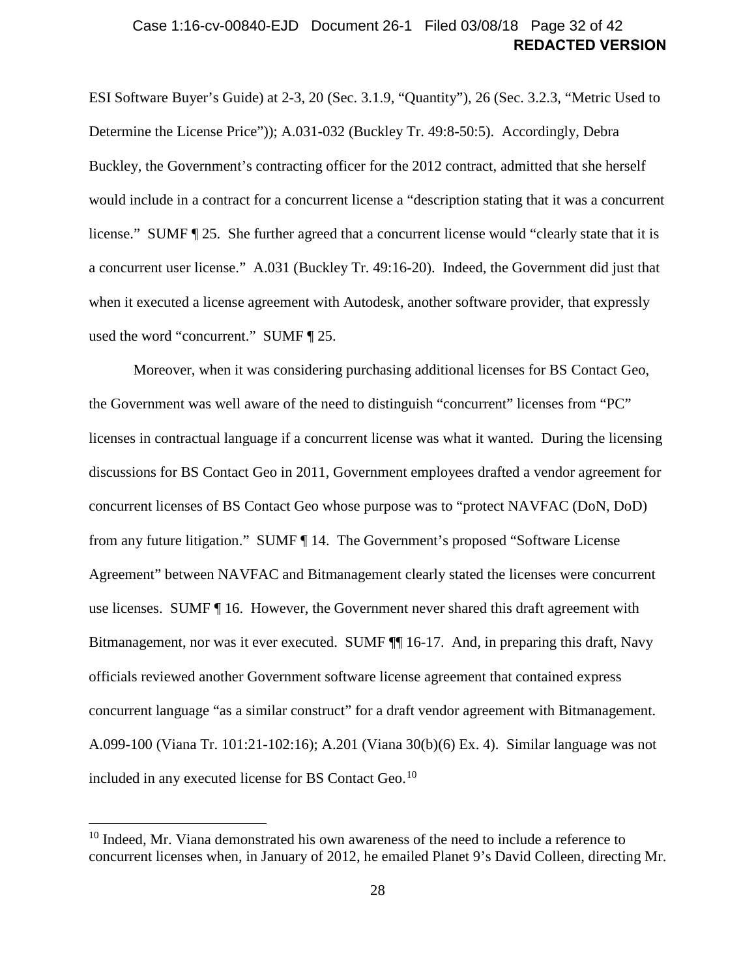### **REDACTED VERSION** Case 1:16-cv-00840-EJD Document 26-1 Filed 03/08/18 Page 32 of 42

ESI Software Buyer's Guide) at 2-3, 20 (Sec. 3.1.9, "Quantity"), 26 (Sec. 3.2.3, "Metric Used to Determine the License Price")); A.031-032 (Buckley Tr. 49:8-50:5). Accordingly, Debra Buckley, the Government's contracting officer for the 2012 contract, admitted that she herself would include in a contract for a concurrent license a "description stating that it was a concurrent license." SUMF ¶ [25.](#page-15-1) She further agreed that a concurrent license would "clearly state that it is a concurrent user license." A.031 (Buckley Tr. 49:16-20). Indeed, the Government did just that when it executed a license agreement with Autodesk, another software provider, that expressly used the word "concurrent." SUMF ¶ [25.](#page-15-1)

Moreover, when it was considering purchasing additional licenses for BS Contact Geo, the Government was well aware of the need to distinguish "concurrent" licenses from "PC" licenses in contractual language if a concurrent license was what it wanted. During the licensing discussions for BS Contact Geo in 2011, Government employees drafted a vendor agreement for concurrent licenses of BS Contact Geo whose purpose was to "protect NAVFAC (DoN, DoD) from any future litigation." SUMF ¶ [14.](#page-11-0) The Government's proposed "Software License Agreement" between NAVFAC and Bitmanagement clearly stated the licenses were concurrent use licenses. SUMF ¶ [16.](#page-12-1) However, the Government never shared this draft agreement with Bitmanagement, nor was it ever executed. SUMF  $\P$  [16](#page-12-1)[-17.](#page-12-2) And, in preparing this draft, Navy officials reviewed another Government software license agreement that contained express concurrent language "as a similar construct" for a draft vendor agreement with Bitmanagement. A.099-100 (Viana Tr. 101:21-102:16); A.201 (Viana 30(b)(6) Ex. 4). Similar language was not included in any executed license for BS Contact Geo.<sup>[10](#page-31-0)</sup>

<span id="page-31-0"></span> $10$  Indeed, Mr. Viana demonstrated his own awareness of the need to include a reference to concurrent licenses when, in January of 2012, he emailed Planet 9's David Colleen, directing Mr.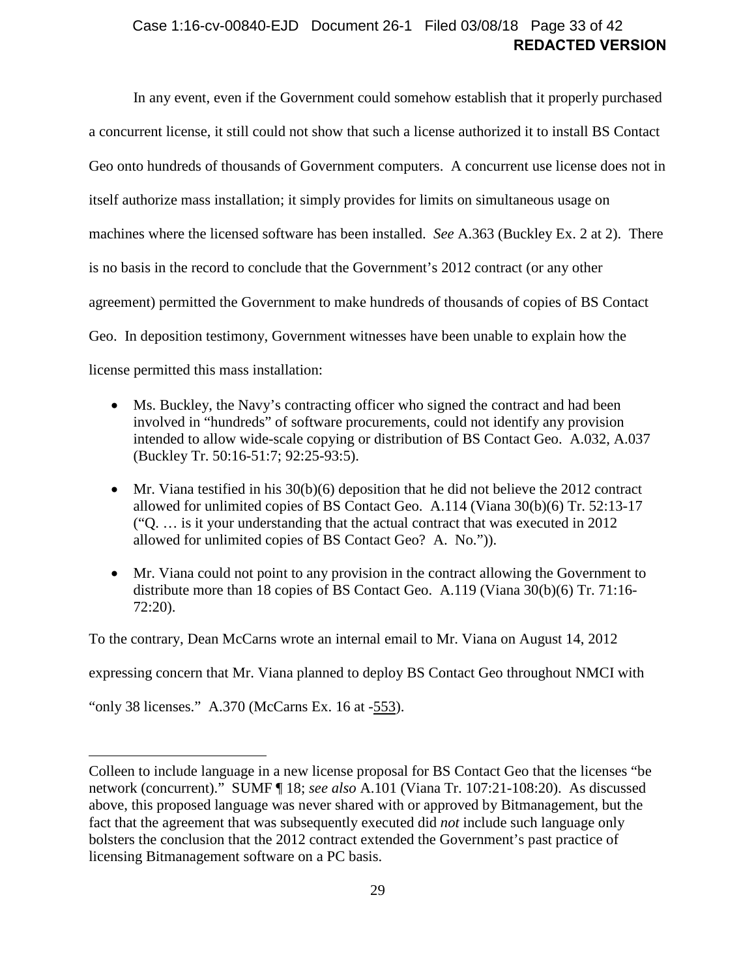### **REDACTED VERSION** Case 1:16-cv-00840-EJD Document 26-1 Filed 03/08/18 Page 33 of 42

In any event, even if the Government could somehow establish that it properly purchased a concurrent license, it still could not show that such a license authorized it to install BS Contact Geo onto hundreds of thousands of Government computers. A concurrent use license does not in itself authorize mass installation; it simply provides for limits on simultaneous usage on machines where the licensed software has been installed. *See* A.363 (Buckley Ex. 2 at 2). There is no basis in the record to conclude that the Government's 2012 contract (or any other agreement) permitted the Government to make hundreds of thousands of copies of BS Contact Geo. In deposition testimony, Government witnesses have been unable to explain how the license permitted this mass installation:

- Ms. Buckley, the Navy's contracting officer who signed the contract and had been involved in "hundreds" of software procurements, could not identify any provision intended to allow wide-scale copying or distribution of BS Contact Geo. A.032, A.037 (Buckley Tr. 50:16-51:7; 92:25-93:5).
- Mr. Viana testified in his  $30(b)(6)$  deposition that he did not believe the 2012 contract allowed for unlimited copies of BS Contact Geo. A.114 (Viana 30(b)(6) Tr. 52:13-17 ("Q. … is it your understanding that the actual contract that was executed in 2012 allowed for unlimited copies of BS Contact Geo? A. No.")).
- Mr. Viana could not point to any provision in the contract allowing the Government to distribute more than 18 copies of BS Contact Geo. A.119 (Viana 30(b)(6) Tr. 71:16- 72:20).

To the contrary, Dean McCarns wrote an internal email to Mr. Viana on August 14, 2012

expressing concern that Mr. Viana planned to deploy BS Contact Geo throughout NMCI with

"only 38 licenses." A.370 (McCarns Ex. 16 at -553).

Colleen to include language in a new license proposal for BS Contact Geo that the licenses "be network (concurrent)." SUMF ¶ [18;](#page-12-3) *see also* A.101 (Viana Tr. 107:21-108:20). As discussed above, this proposed language was never shared with or approved by Bitmanagement, but the fact that the agreement that was subsequently executed did *not* include such language only bolsters the conclusion that the 2012 contract extended the Government's past practice of licensing Bitmanagement software on a PC basis.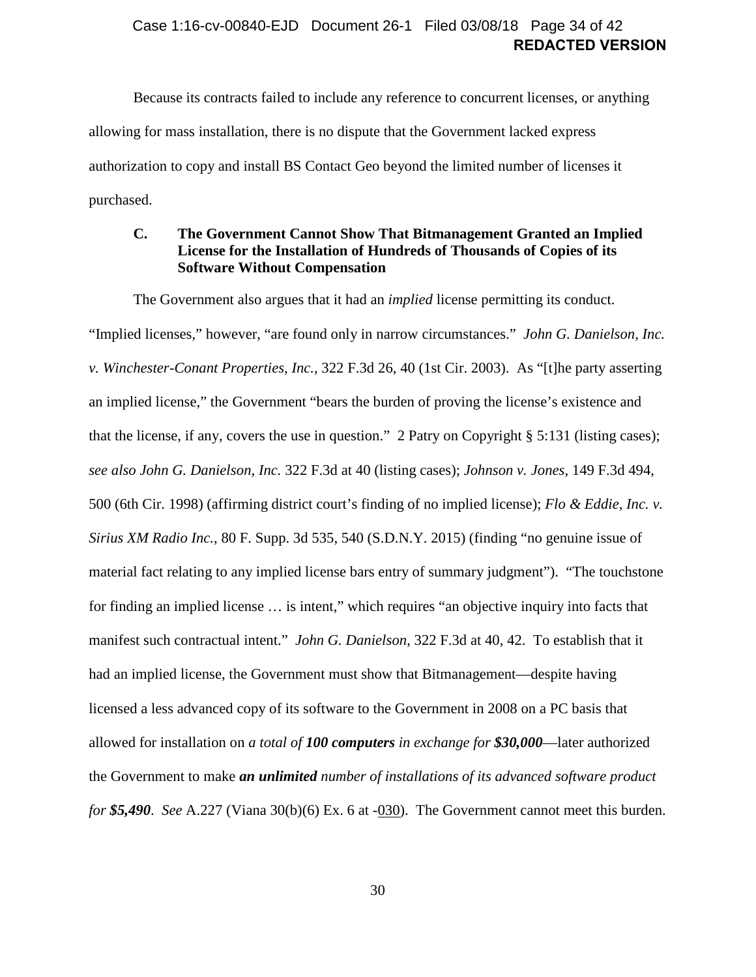### **REDACTED VERSION** Case 1:16-cv-00840-EJD Document 26-1 Filed 03/08/18 Page 34 of 42

Because its contracts failed to include any reference to concurrent licenses, or anything allowing for mass installation, there is no dispute that the Government lacked express authorization to copy and install BS Contact Geo beyond the limited number of licenses it purchased.

### <span id="page-33-0"></span>**C. The Government Cannot Show That Bitmanagement Granted an Implied License for the Installation of Hundreds of Thousands of Copies of its Software Without Compensation**

The Government also argues that it had an *implied* license permitting its conduct.

"Implied licenses," however, "are found only in narrow circumstances." *John G. Danielson, Inc. v. Winchester-Conant Properties, Inc.*, 322 F.3d 26, 40 (1st Cir. 2003). As "[t]he party asserting an implied license," the Government "bears the burden of proving the license's existence and that the license, if any, covers the use in question." 2 Patry on Copyright § 5:131 (listing cases); *see also John G. Danielson, Inc.* 322 F.3d at 40 (listing cases); *Johnson v. Jones*, 149 F.3d 494, 500 (6th Cir. 1998) (affirming district court's finding of no implied license); *Flo & Eddie, Inc. v. Sirius XM Radio Inc.*, 80 F. Supp. 3d 535, 540 (S.D.N.Y. 2015) (finding "no genuine issue of material fact relating to any implied license bars entry of summary judgment"). "The touchstone for finding an implied license … is intent," which requires "an objective inquiry into facts that manifest such contractual intent." *John G. Danielson*, 322 F.3d at 40, 42. To establish that it had an implied license, the Government must show that Bitmanagement—despite having licensed a less advanced copy of its software to the Government in 2008 on a PC basis that allowed for installation on *a total of 100 computers in exchange for \$30,000*—later authorized the Government to make *an unlimited number of installations of its advanced software product for \$5,490*. *See* A.227 (Viana 30(b)(6) Ex. 6 at -030). The Government cannot meet this burden.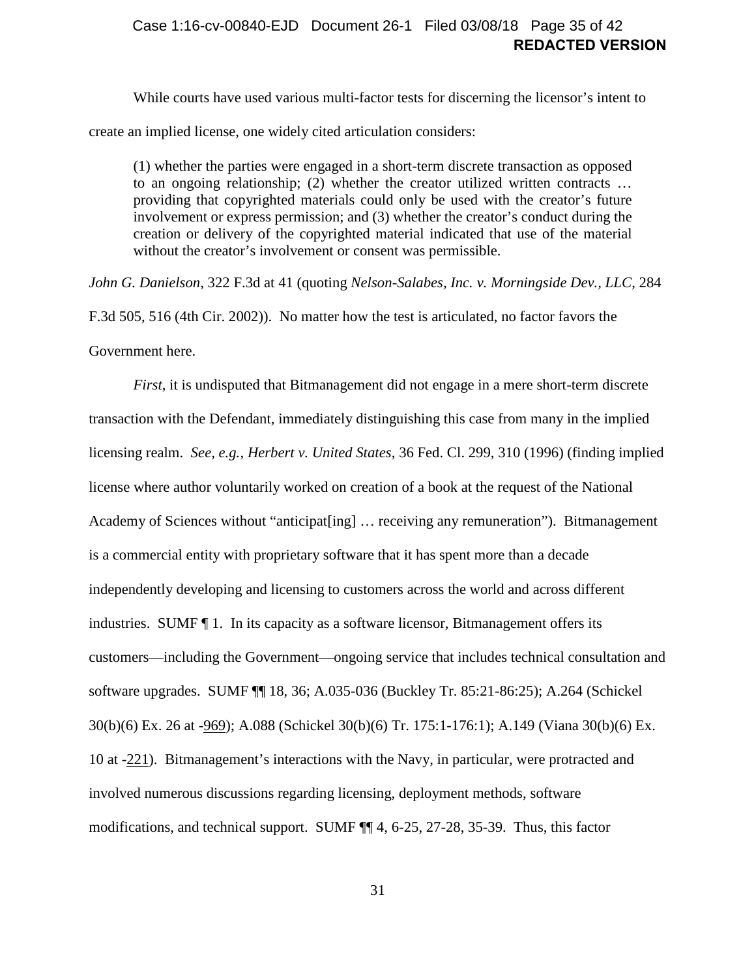### **REDACTED VERSION** Case 1:16-cv-00840-EJD Document 26-1 Filed 03/08/18 Page 35 of 42

While courts have used various multi-factor tests for discerning the licensor's intent to create an implied license, one widely cited articulation considers:

(1) whether the parties were engaged in a short-term discrete transaction as opposed to an ongoing relationship; (2) whether the creator utilized written contracts … providing that copyrighted materials could only be used with the creator's future involvement or express permission; and (3) whether the creator's conduct during the creation or delivery of the copyrighted material indicated that use of the material without the creator's involvement or consent was permissible.

*John G. Danielson*, 322 F.3d at 41 (quoting *Nelson-Salabes, Inc. v. Morningside Dev., LLC*, 284 F.3d 505, 516 (4th Cir. 2002)). No matter how the test is articulated, no factor favors the Government here.

<span id="page-34-0"></span>*First*, it is undisputed that Bitmanagement did not engage in a mere short-term discrete transaction with the Defendant, immediately distinguishing this case from many in the implied licensing realm. *See, e.g.*, *Herbert v. United States*, 36 Fed. Cl. 299, 310 (1996) (finding implied license where author voluntarily worked on creation of a book at the request of the National Academy of Sciences without "anticipat[ing] … receiving any remuneration"). Bitmanagement is a commercial entity with proprietary software that it has spent more than a decade independently developing and licensing to customers across the world and across different industries. SUMF ¶ [1.](#page-6-5) In its capacity as a software licensor, Bitmanagement offers its customers—including the Government—ongoing service that includes technical consultation and software upgrades. SUMF ¶¶ [18,](#page-12-3) [36;](#page-20-1) A.035-036 (Buckley Tr. 85:21-86:25); A.264 (Schickel 30(b)(6) Ex. 26 at -969); A.088 (Schickel 30(b)(6) Tr. 175:1-176:1); A.149 (Viana 30(b)(6) Ex. 10 at -221). Bitmanagement's interactions with the Navy, in particular, were protracted and involved numerous discussions regarding licensing, deployment methods, software modifications, and technical support. SUMF ¶¶ [4,](#page-7-1) [6](#page-8-2)[-25,](#page-15-1) [27](#page-16-2)[-28,](#page-17-2) [35](#page-20-2)[-39.](#page-21-0) Thus, this factor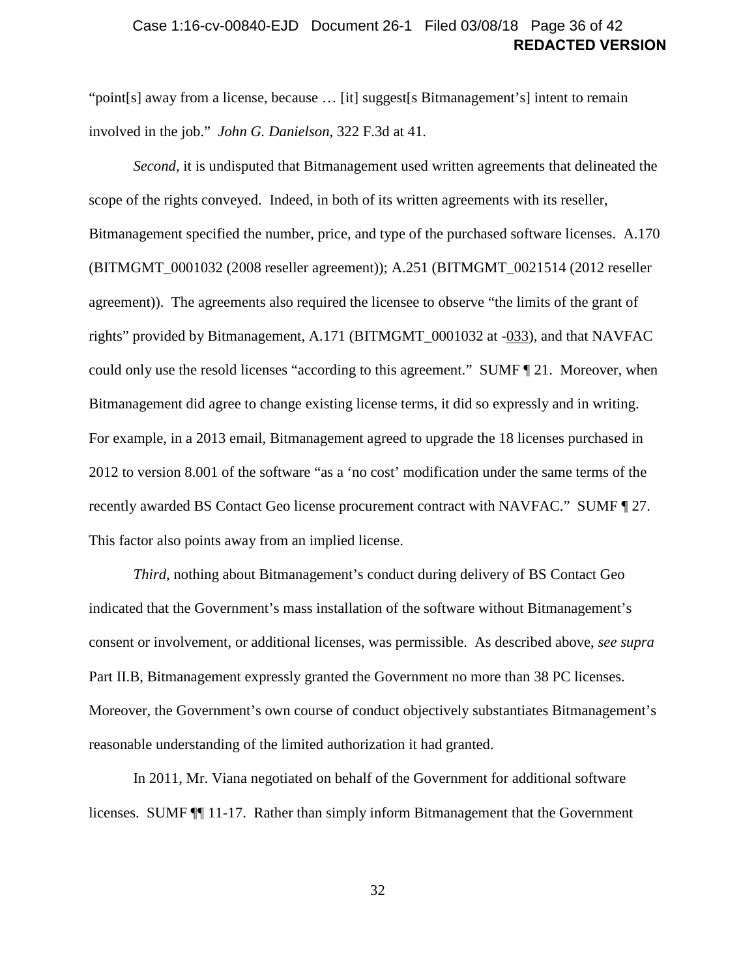### **REDACTED VERSION** Case 1:16-cv-00840-EJD Document 26-1 Filed 03/08/18 Page 36 of 42

"point[s] away from a license, because ... [it] suggest[s Bitmanagement's] intent to remain involved in the job." *John G. Danielson*, 322 F.3d at 41.

*Second*, it is undisputed that Bitmanagement used written agreements that delineated the scope of the rights conveyed. Indeed, in both of its written agreements with its reseller, Bitmanagement specified the number, price, and type of the purchased software licenses. A.170 (BITMGMT\_0001032 (2008 reseller agreement)); A.251 (BITMGMT\_0021514 (2012 reseller agreement)). The agreements also required the licensee to observe "the limits of the grant of rights" provided by Bitmanagement, A.171 (BITMGMT\_0001032 at -033), and that NAVFAC could only use the resold licenses "according to this agreement." SUMF ¶ [21.](#page-14-3) Moreover, when Bitmanagement did agree to change existing license terms, it did so expressly and in writing. For example, in a 2013 email, Bitmanagement agreed to upgrade the 18 licenses purchased in 2012 to version 8.001 of the software "as a 'no cost' modification under the same terms of the recently awarded BS Contact Geo license procurement contract with NAVFAC." SUMF ¶ [27.](#page-16-2) This factor also points away from an implied license.

*Third*, nothing about Bitmanagement's conduct during delivery of BS Contact Geo indicated that the Government's mass installation of the software without Bitmanagement's consent or involvement, or additional licenses, was permissible. As described above, *see supra*  Part [II.B,](#page-28-0) Bitmanagement expressly granted the Government no more than 38 PC licenses. Moreover, the Government's own course of conduct objectively substantiates Bitmanagement's reasonable understanding of the limited authorization it had granted.

In 2011, Mr. Viana negotiated on behalf of the Government for additional software licenses. SUMF ¶¶ [11-](#page-10-3)[17.](#page-12-2) Rather than simply inform Bitmanagement that the Government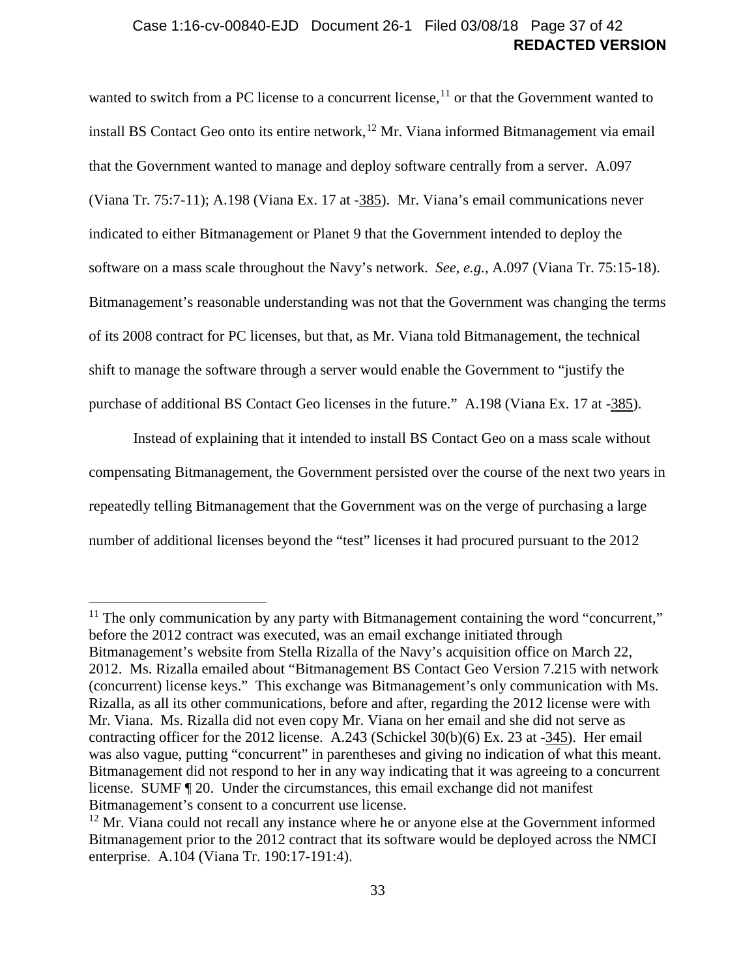### **REDACTED VERSION** Case 1:16-cv-00840-EJD Document 26-1 Filed 03/08/18 Page 37 of 42

wanted to switch from a PC license to a concurrent license, $11$  or that the Government wanted to install BS Contact Geo onto its entire network,  $12$  Mr. Viana informed Bitmanagement via email that the Government wanted to manage and deploy software centrally from a server. A.097 (Viana Tr. 75:7-11); A.198 (Viana Ex. 17 at -385). Mr. Viana's email communications never indicated to either Bitmanagement or Planet 9 that the Government intended to deploy the software on a mass scale throughout the Navy's network. *See, e.g.*, A.097 (Viana Tr. 75:15-18). Bitmanagement's reasonable understanding was not that the Government was changing the terms of its 2008 contract for PC licenses, but that, as Mr. Viana told Bitmanagement, the technical shift to manage the software through a server would enable the Government to "justify the purchase of additional BS Contact Geo licenses in the future." A.198 (Viana Ex. 17 at -385).

Instead of explaining that it intended to install BS Contact Geo on a mass scale without compensating Bitmanagement, the Government persisted over the course of the next two years in repeatedly telling Bitmanagement that the Government was on the verge of purchasing a large number of additional licenses beyond the "test" licenses it had procured pursuant to the 2012

<span id="page-36-0"></span> $11$  The only communication by any party with Bitmanagement containing the word "concurrent," before the 2012 contract was executed, was an email exchange initiated through Bitmanagement's website from Stella Rizalla of the Navy's acquisition office on March 22, 2012. Ms. Rizalla emailed about "Bitmanagement BS Contact Geo Version 7.215 with network (concurrent) license keys." This exchange was Bitmanagement's only communication with Ms. Rizalla, as all its other communications, before and after, regarding the 2012 license were with Mr. Viana. Ms. Rizalla did not even copy Mr. Viana on her email and she did not serve as contracting officer for the 2012 license. A.243 (Schickel 30(b)(6) Ex. 23 at -345). Her email was also vague, putting "concurrent" in parentheses and giving no indication of what this meant. Bitmanagement did not respond to her in any way indicating that it was agreeing to a concurrent license. SUMF ¶ [20.](#page-13-0) Under the circumstances, this email exchange did not manifest Bitmanagement's consent to a concurrent use license.

<span id="page-36-1"></span> $12$  Mr. Viana could not recall any instance where he or anyone else at the Government informed Bitmanagement prior to the 2012 contract that its software would be deployed across the NMCI enterprise. A.104 (Viana Tr. 190:17-191:4).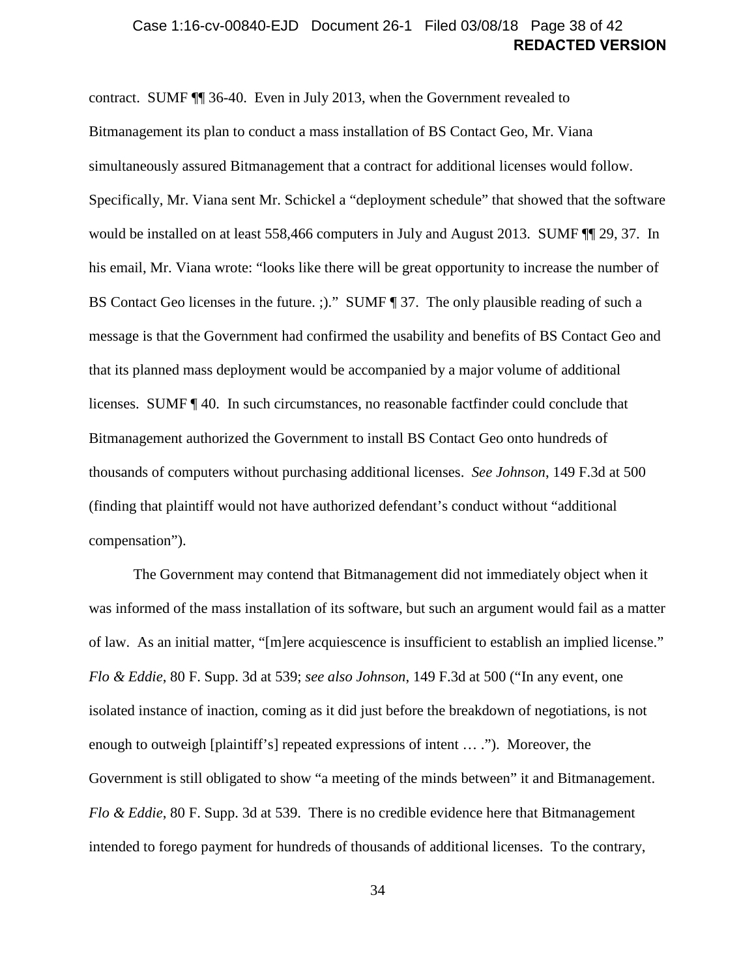### **REDACTED VERSION** Case 1:16-cv-00840-EJD Document 26-1 Filed 03/08/18 Page 38 of 42

contract. SUMF ¶¶ [36](#page-20-1)[-40.](#page-21-1) Even in July 2013, when the Government revealed to Bitmanagement its plan to conduct a mass installation of BS Contact Geo, Mr. Viana simultaneously assured Bitmanagement that a contract for additional licenses would follow. Specifically, Mr. Viana sent Mr. Schickel a "deployment schedule" that showed that the software would be installed on at least 558,466 computers in July and August 2013. SUMF ¶¶ [29,](#page-17-1) [37.](#page-21-2) In his email, Mr. Viana wrote: "looks like there will be great opportunity to increase the number of BS Contact Geo licenses in the future. ;)." SUMF ¶ [37.](#page-21-2) The only plausible reading of such a message is that the Government had confirmed the usability and benefits of BS Contact Geo and that its planned mass deployment would be accompanied by a major volume of additional licenses. SUMF ¶ [40.](#page-21-1) In such circumstances, no reasonable factfinder could conclude that Bitmanagement authorized the Government to install BS Contact Geo onto hundreds of thousands of computers without purchasing additional licenses. *See Johnson*, 149 F.3d at 500 (finding that plaintiff would not have authorized defendant's conduct without "additional compensation").

The Government may contend that Bitmanagement did not immediately object when it was informed of the mass installation of its software, but such an argument would fail as a matter of law. As an initial matter, "[m]ere acquiescence is insufficient to establish an implied license." *Flo & Eddie*, 80 F. Supp. 3d at 539; *see also Johnson*, 149 F.3d at 500 ("In any event, one isolated instance of inaction, coming as it did just before the breakdown of negotiations, is not enough to outweigh [plaintiff's] repeated expressions of intent … ."). Moreover, the Government is still obligated to show "a meeting of the minds between" it and Bitmanagement. *Flo & Eddie*, 80 F. Supp. 3d at 539. There is no credible evidence here that Bitmanagement intended to forego payment for hundreds of thousands of additional licenses. To the contrary,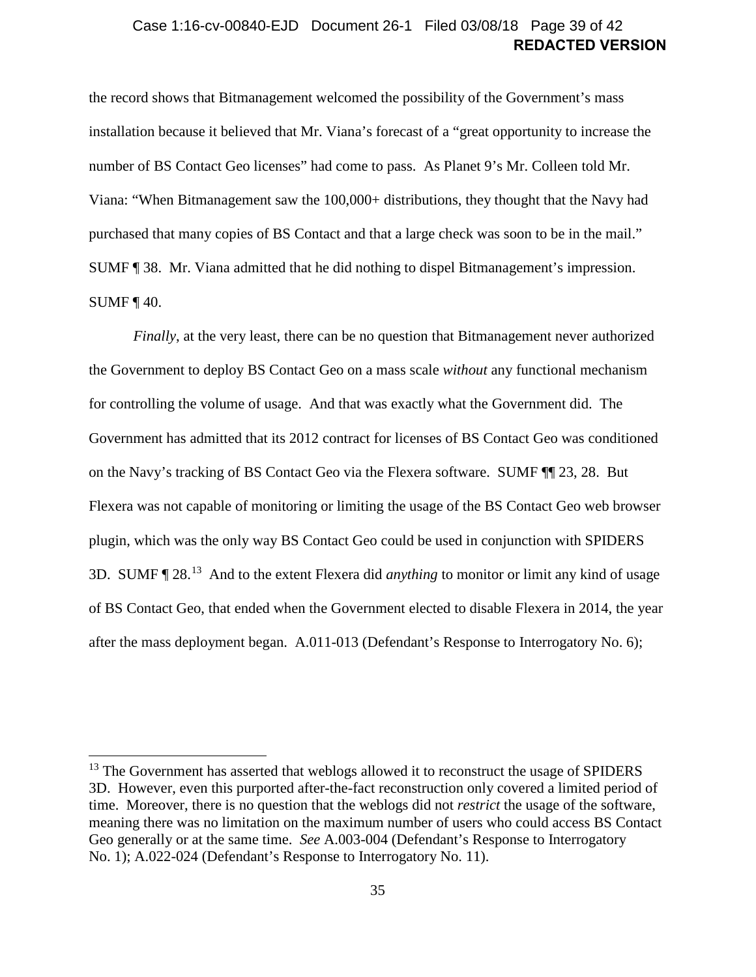### **REDACTED VERSION** Case 1:16-cv-00840-EJD Document 26-1 Filed 03/08/18 Page 39 of 42

the record shows that Bitmanagement welcomed the possibility of the Government's mass installation because it believed that Mr. Viana's forecast of a "great opportunity to increase the number of BS Contact Geo licenses" had come to pass. As Planet 9's Mr. Colleen told Mr. Viana: "When Bitmanagement saw the 100,000+ distributions, they thought that the Navy had purchased that many copies of BS Contact and that a large check was soon to be in the mail." SUMF ¶ [38.](#page-21-3) Mr. Viana admitted that he did nothing to dispel Bitmanagement's impression. SUMF  $\P$  [40.](#page-21-1)

*Finally*, at the very least, there can be no question that Bitmanagement never authorized the Government to deploy BS Contact Geo on a mass scale *without* any functional mechanism for controlling the volume of usage. And that was exactly what the Government did. The Government has admitted that its 2012 contract for licenses of BS Contact Geo was conditioned on the Navy's tracking of BS Contact Geo via the Flexera software. SUMF ¶¶ [23,](#page-15-0) [28.](#page-17-2) But Flexera was not capable of monitoring or limiting the usage of the BS Contact Geo web browser plugin, which was the only way BS Contact Geo could be used in conjunction with SPIDERS 3D. SUMF ¶ [28.](#page-17-2) [13](#page-38-0) And to the extent Flexera did *anything* to monitor or limit any kind of usage of BS Contact Geo, that ended when the Government elected to disable Flexera in 2014, the year after the mass deployment began. A.011-013 (Defendant's Response to Interrogatory No. 6);

<span id="page-38-0"></span><sup>&</sup>lt;sup>13</sup> The Government has asserted that weblogs allowed it to reconstruct the usage of SPIDERS 3D. However, even this purported after-the-fact reconstruction only covered a limited period of time. Moreover, there is no question that the weblogs did not *restrict* the usage of the software, meaning there was no limitation on the maximum number of users who could access BS Contact Geo generally or at the same time. *See* A.003-004 (Defendant's Response to Interrogatory No. 1); A.022-024 (Defendant's Response to Interrogatory No. 11).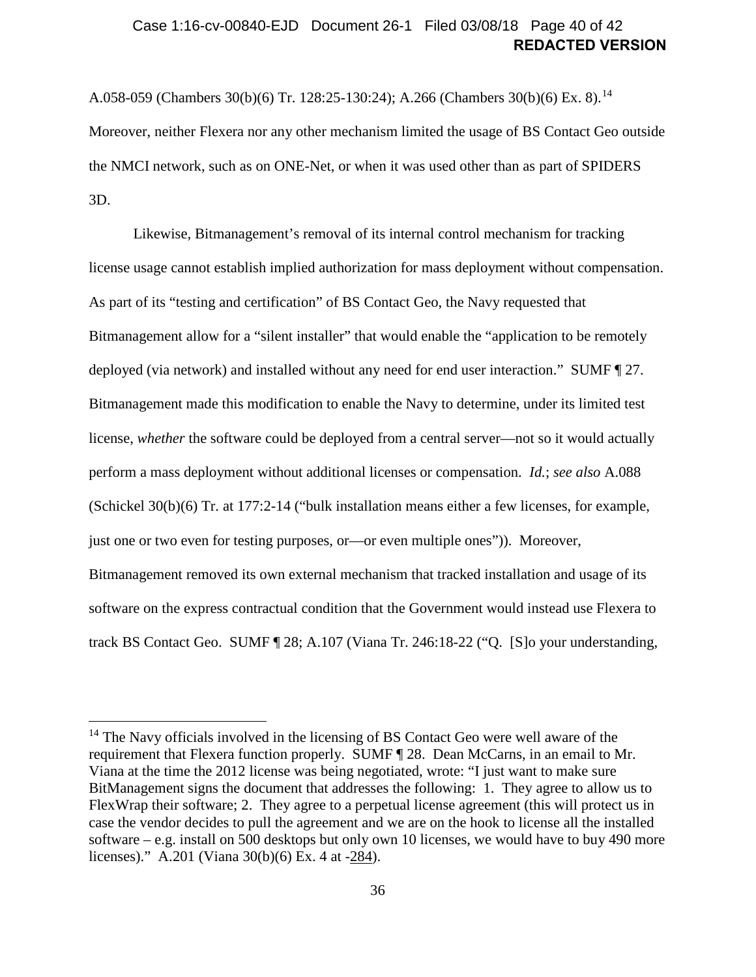### **REDACTED VERSION** Case 1:16-cv-00840-EJD Document 26-1 Filed 03/08/18 Page 40 of 42

A.058-059 (Chambers 30(b)(6) Tr. 128:25-130:24); A.266 (Chambers 30(b)(6) Ex. 8).<sup>14</sup> Moreover, neither Flexera nor any other mechanism limited the usage of BS Contact Geo outside the NMCI network, such as on ONE-Net, or when it was used other than as part of SPIDERS 3D.

Likewise, Bitmanagement's removal of its internal control mechanism for tracking license usage cannot establish implied authorization for mass deployment without compensation. As part of its "testing and certification" of BS Contact Geo, the Navy requested that Bitmanagement allow for a "silent installer" that would enable the "application to be remotely deployed (via network) and installed without any need for end user interaction." SUMF ¶ [27.](#page-16-2) Bitmanagement made this modification to enable the Navy to determine, under its limited test license, *whether* the software could be deployed from a central server—not so it would actually perform a mass deployment without additional licenses or compensation. *Id.*; *see also* A.088 (Schickel 30(b)(6) Tr. at 177:2-14 ("bulk installation means either a few licenses, for example, just one or two even for testing purposes, or—or even multiple ones")). Moreover, Bitmanagement removed its own external mechanism that tracked installation and usage of its software on the express contractual condition that the Government would instead use Flexera to track BS Contact Geo. SUMF ¶ [28;](#page-17-2) A.107 (Viana Tr. 246:18-22 ("Q. [S]o your understanding,

<span id="page-39-0"></span><sup>&</sup>lt;sup>14</sup> The Navy officials involved in the licensing of BS Contact Geo were well aware of the requirement that Flexera function properly. SUMF ¶ [28.](#page-17-2) Dean McCarns, in an email to Mr. Viana at the time the 2012 license was being negotiated, wrote: "I just want to make sure BitManagement signs the document that addresses the following: 1. They agree to allow us to FlexWrap their software; 2. They agree to a perpetual license agreement (this will protect us in case the vendor decides to pull the agreement and we are on the hook to license all the installed software – e.g. install on 500 desktops but only own 10 licenses, we would have to buy 490 more licenses)." A.201 (Viana 30(b)(6) Ex. 4 at -284).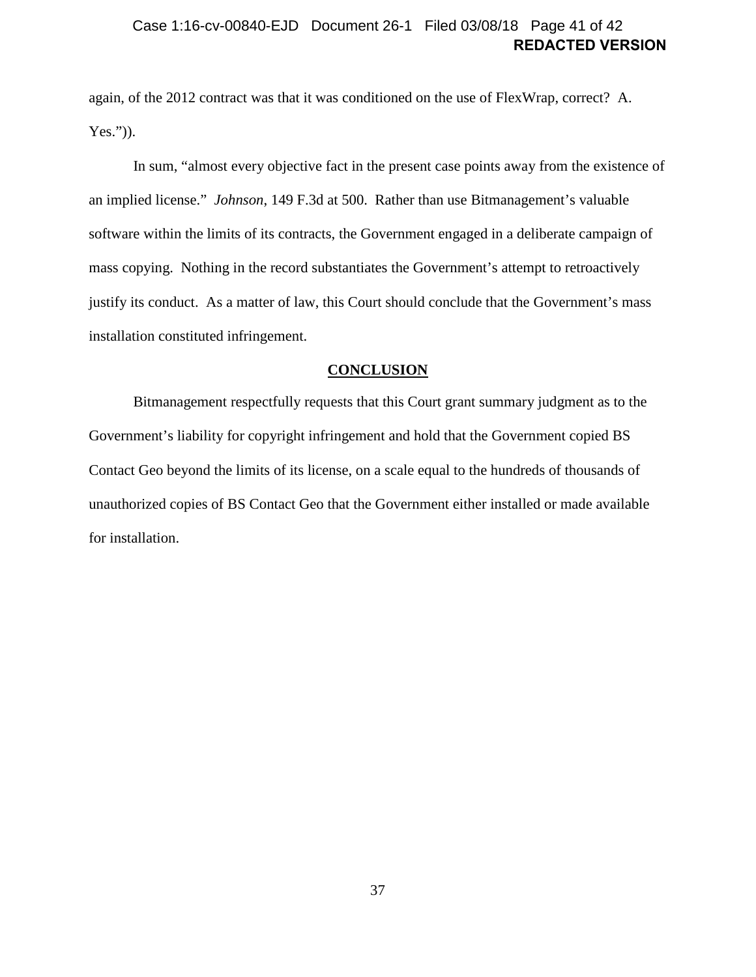### **REDACTED VERSION** Case 1:16-cv-00840-EJD Document 26-1 Filed 03/08/18 Page 41 of 42

again, of the 2012 contract was that it was conditioned on the use of FlexWrap, correct? A. Yes.")).

In sum, "almost every objective fact in the present case points away from the existence of an implied license." *Johnson*, 149 F.3d at 500. Rather than use Bitmanagement's valuable software within the limits of its contracts, the Government engaged in a deliberate campaign of mass copying. Nothing in the record substantiates the Government's attempt to retroactively justify its conduct. As a matter of law, this Court should conclude that the Government's mass installation constituted infringement.

#### **CONCLUSION**

<span id="page-40-0"></span>Bitmanagement respectfully requests that this Court grant summary judgment as to the Government's liability for copyright infringement and hold that the Government copied BS Contact Geo beyond the limits of its license, on a scale equal to the hundreds of thousands of unauthorized copies of BS Contact Geo that the Government either installed or made available for installation.